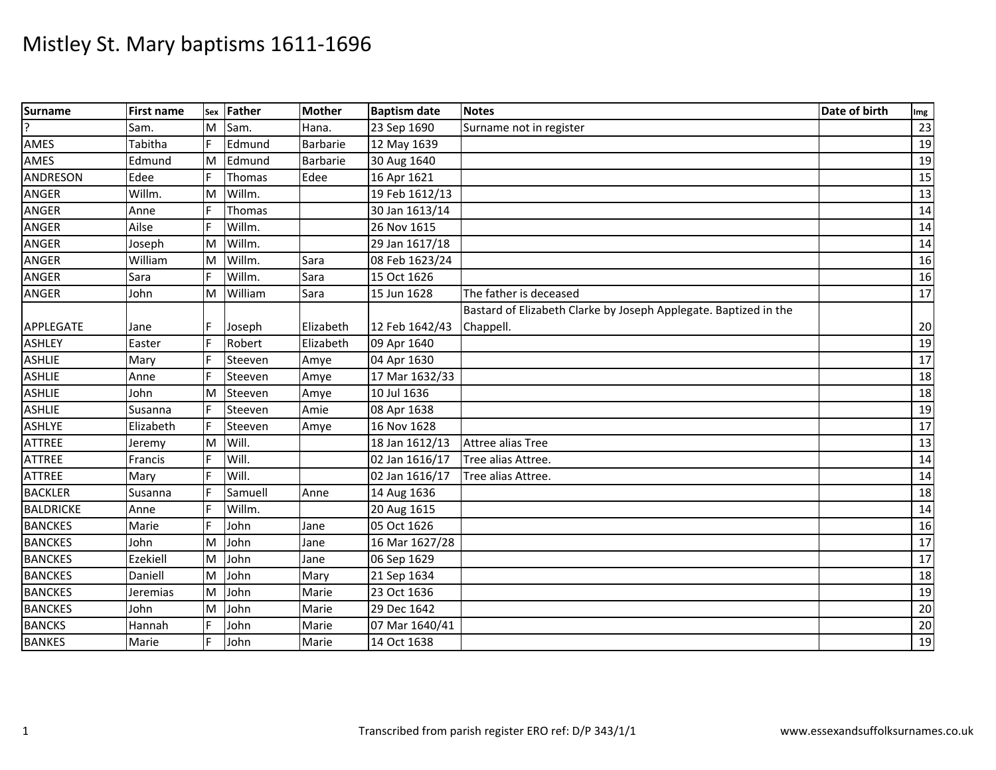| <b>Surname</b>   | <b>First name</b> | Sex | Father  | <b>Mother</b> | <b>Baptism date</b> | <b>Notes</b>                                                     | Date of birth | Img             |
|------------------|-------------------|-----|---------|---------------|---------------------|------------------------------------------------------------------|---------------|-----------------|
| J.               | Sam.              | M   | Sam.    | Hana.         | 23 Sep 1690         | Surname not in register                                          |               | 23              |
| AMES             | Tabitha           | IF. | Edmund  | Barbarie      | 12 May 1639         |                                                                  |               | 19              |
| AMES             | Edmund            | M   | Edmund  | Barbarie      | 30 Aug 1640         |                                                                  |               | 19              |
| <b>ANDRESON</b>  | Edee              | F   | Thomas  | Edee          | 16 Apr 1621         |                                                                  |               | 15              |
| <b>ANGER</b>     | Willm.            | M   | Willm.  |               | 19 Feb 1612/13      |                                                                  |               | 13              |
| ANGER            | Anne              | IF. | Thomas  |               | 30 Jan 1613/14      |                                                                  |               | 14              |
| ANGER            | Ailse             |     | Willm.  |               | 26 Nov 1615         |                                                                  |               | 14              |
| ANGER            | Joseph            | M   | Willm.  |               | 29 Jan 1617/18      |                                                                  |               | 14              |
| ANGER            | William           | M   | Willm.  | Sara          | 08 Feb 1623/24      |                                                                  |               | 16              |
| ANGER            | Sara              | IF. | Willm.  | Sara          | 15 Oct 1626         |                                                                  |               | 16              |
| ANGER            | John              | M   | William | Sara          | 15 Jun 1628         | The father is deceased                                           |               | 17              |
|                  |                   |     |         |               |                     | Bastard of Elizabeth Clarke by Joseph Applegate. Baptized in the |               |                 |
| APPLEGATE        | Jane              |     | Joseph  | Elizabeth     | 12 Feb 1642/43      | Chappell.                                                        |               | 20              |
| <b>ASHLEY</b>    | Easter            | l F | Robert  | Elizabeth     | 09 Apr 1640         |                                                                  |               | 19              |
| <b>ASHLIE</b>    | Mary              |     | Steeven | Amye          | 04 Apr 1630         |                                                                  |               | 17              |
| <b>ASHLIE</b>    | Anne              |     | Steeven | Amye          | 17 Mar 1632/33      |                                                                  |               | 18              |
| <b>ASHLIE</b>    | John              | M   | Steeven | Amye          | 10 Jul 1636         |                                                                  |               | 18              |
| <b>ASHLIE</b>    | Susanna           |     | Steeven | Amie          | 08 Apr 1638         |                                                                  |               | 19              |
| <b>ASHLYE</b>    | Elizabeth         |     | Steeven | Amye          | 16 Nov 1628         |                                                                  |               | 17              |
| <b>ATTREE</b>    | Jeremy            | M   | Will.   |               | 18 Jan 1612/13      | Attree alias Tree                                                |               | 13              |
| <b>ATTREE</b>    | Francis           |     | Will.   |               | 02 Jan 1616/17      | Tree alias Attree.                                               |               | 14              |
| <b>ATTREE</b>    | Mary              |     | Will.   |               | 02 Jan 1616/17      | Tree alias Attree.                                               |               | 14              |
| <b>BACKLER</b>   | Susanna           |     | Samuell | Anne          | 14 Aug 1636         |                                                                  |               | 18              |
| <b>BALDRICKE</b> | Anne              |     | Willm.  |               | 20 Aug 1615         |                                                                  |               | 14              |
| <b>BANCKES</b>   | Marie             |     | John    | Jane          | 05 Oct 1626         |                                                                  |               | 16              |
| <b>BANCKES</b>   | John              | M   | John    | Jane          | 16 Mar 1627/28      |                                                                  |               | 17              |
| <b>BANCKES</b>   | Ezekiell          | M   | John    | Jane          | 06 Sep 1629         |                                                                  |               | $\overline{17}$ |
| <b>BANCKES</b>   | Daniell           | M   | John    | Mary          | 21 Sep 1634         |                                                                  |               | 18              |
| <b>BANCKES</b>   | Jeremias          | M   | John    | Marie         | 23 Oct 1636         |                                                                  |               | 19              |
| <b>BANCKES</b>   | John              | M   | John    | Marie         | 29 Dec 1642         |                                                                  |               | $20\,$          |
| <b>BANCKS</b>    | Hannah            |     | John    | Marie         | 07 Mar 1640/41      |                                                                  |               | 20              |
| <b>BANKES</b>    | Marie             |     | John    | Marie         | 14 Oct 1638         |                                                                  |               | 19              |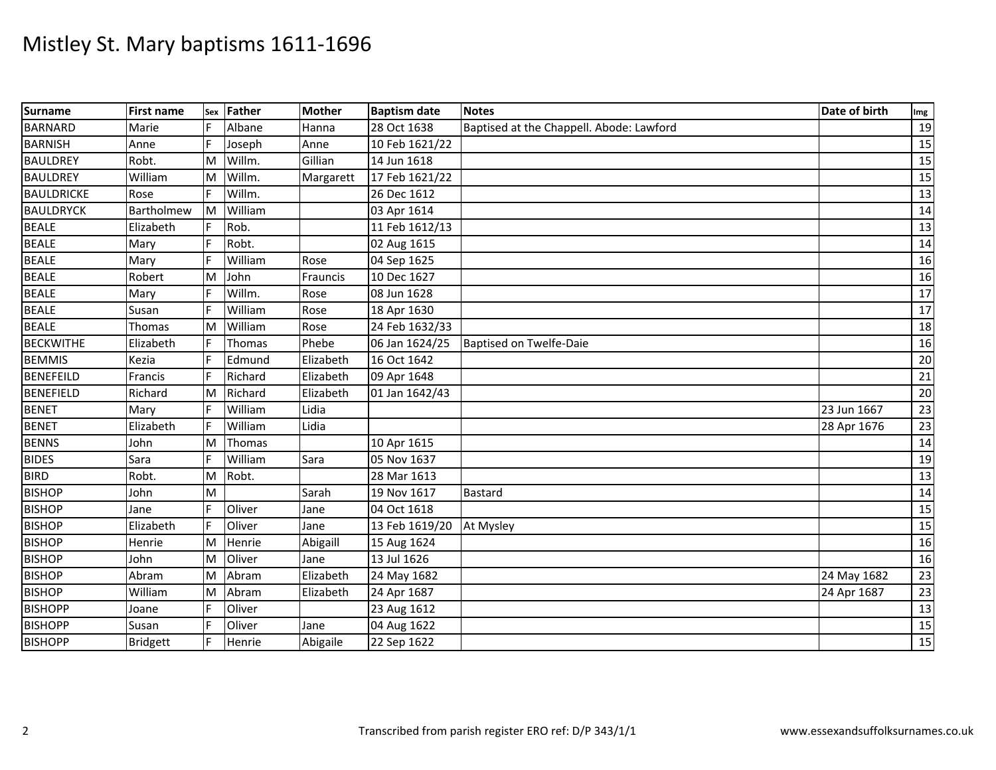| <b>Surname</b>    | <b>First name</b> | Sex | Father  | <b>Mother</b> | <b>Baptism date</b> | <b>Notes</b>                             | Date of birth | Img |
|-------------------|-------------------|-----|---------|---------------|---------------------|------------------------------------------|---------------|-----|
| <b>BARNARD</b>    | Marie             |     | Albane  | Hanna         | 28 Oct 1638         | Baptised at the Chappell. Abode: Lawford |               | 19  |
| <b>BARNISH</b>    | Anne              | E   | Joseph  | Anne          | 10 Feb 1621/22      |                                          |               | 15  |
| <b>BAULDREY</b>   | Robt.             | M   | Willm.  | Gillian       | 14 Jun 1618         |                                          |               | 15  |
| <b>BAULDREY</b>   | William           | lм  | Willm.  | Margarett     | 17 Feb 1621/22      |                                          |               | 15  |
| <b>BAULDRICKE</b> | Rose              |     | Willm.  |               | 26 Dec 1612         |                                          |               | 13  |
| <b>BAULDRYCK</b>  | Bartholmew        | Iм  | William |               | 03 Apr 1614         |                                          |               | 14  |
| <b>BEALE</b>      | Elizabeth         |     | Rob.    |               | 11 Feb 1612/13      |                                          |               | 13  |
| <b>BEALE</b>      | Mary              |     | Robt.   |               | 02 Aug 1615         |                                          |               | 14  |
| <b>BEALE</b>      | Mary              |     | William | Rose          | 04 Sep 1625         |                                          |               | 16  |
| <b>BEALE</b>      | Robert            | M   | John    | Frauncis      | 10 Dec 1627         |                                          |               | 16  |
| <b>BEALE</b>      | Mary              |     | Willm.  | Rose          | 08 Jun 1628         |                                          |               | 17  |
| <b>BEALE</b>      | Susan             |     | William | Rose          | 18 Apr 1630         |                                          |               | 17  |
| <b>BEALE</b>      | Thomas            | ΙM  | William | Rose          | 24 Feb 1632/33      |                                          |               | 18  |
| <b>BECKWITHE</b>  | Elizabeth         | IF  | Thomas  | Phebe         | 06 Jan 1624/25      | Baptised on Twelfe-Daie                  |               | 16  |
| <b>BEMMIS</b>     | Kezia             |     | Edmund  | Elizabeth     | 16 Oct 1642         |                                          |               | 20  |
| <b>BENEFEILD</b>  | Francis           |     | Richard | Elizabeth     | 09 Apr 1648         |                                          |               | 21  |
| <b>BENEFIELD</b>  | Richard           | M   | Richard | Elizabeth     | 01 Jan 1642/43      |                                          |               | 20  |
| <b>BENET</b>      | Mary              |     | William | Lidia         |                     |                                          | 23 Jun 1667   | 23  |
| <b>BENET</b>      | Elizabeth         |     | William | Lidia         |                     |                                          | 28 Apr 1676   | 23  |
| <b>BENNS</b>      | John              | M   | Thomas  |               | 10 Apr 1615         |                                          |               | 14  |
| <b>BIDES</b>      | Sara              |     | William | Sara          | 05 Nov 1637         |                                          |               | 19  |
| <b>BIRD</b>       | Robt.             | M   | Robt.   |               | 28 Mar 1613         |                                          |               | 13  |
| <b>BISHOP</b>     | John              | M   |         | Sarah         | 19 Nov 1617         | <b>Bastard</b>                           |               | 14  |
| <b>BISHOP</b>     | Jane              |     | Oliver  | Jane          | 04 Oct 1618         |                                          |               | 15  |
| <b>BISHOP</b>     | Elizabeth         |     | Oliver  | Jane          | 13 Feb 1619/20      | At Mysley                                |               | 15  |
| <b>BISHOP</b>     | Henrie            | M   | Henrie  | Abigaill      | 15 Aug 1624         |                                          |               | 16  |
| <b>BISHOP</b>     | John              | M   | Oliver  | Jane          | 13 Jul 1626         |                                          |               | 16  |
| <b>BISHOP</b>     | Abram             | M   | Abram   | Elizabeth     | 24 May 1682         |                                          | 24 May 1682   | 23  |
| <b>BISHOP</b>     | William           | M   | Abram   | Elizabeth     | 24 Apr 1687         |                                          | 24 Apr 1687   | 23  |
| <b>BISHOPP</b>    | Joane             |     | Oliver  |               | 23 Aug 1612         |                                          |               | 13  |
| <b>BISHOPP</b>    | Susan             |     | Oliver  | Jane          | 04 Aug 1622         |                                          |               | 15  |
| <b>BISHOPP</b>    | <b>Bridgett</b>   | F   | Henrie  | Abigaile      | 22 Sep 1622         |                                          |               | 15  |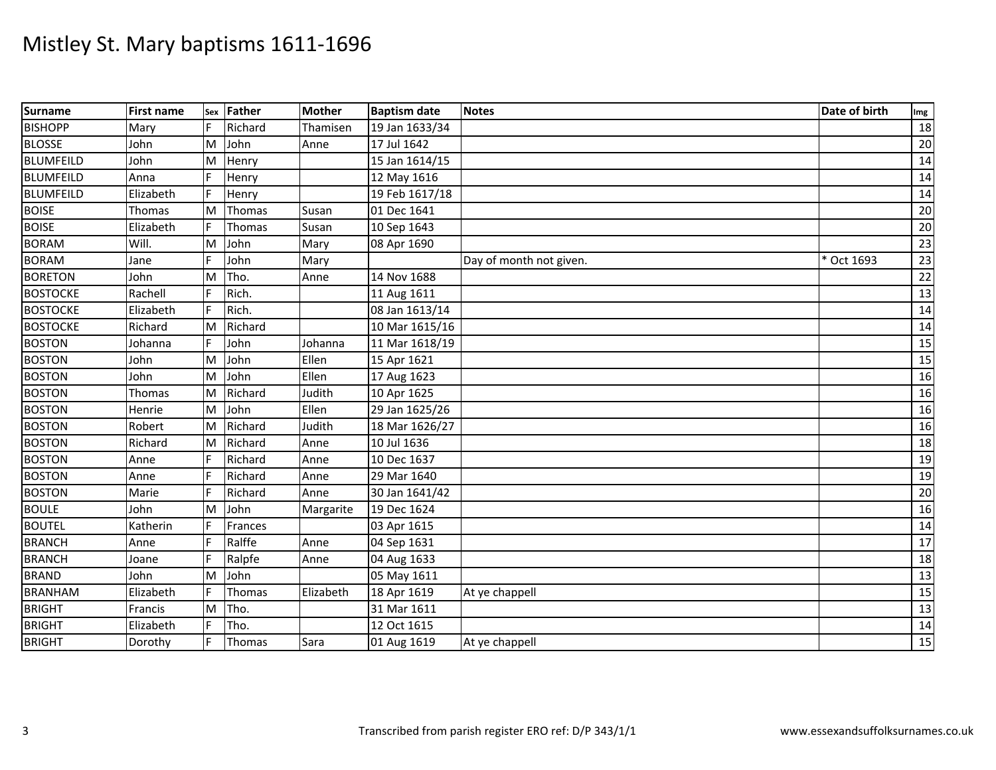| Surname          | <b>First name</b> | Sex | Father  | <b>Mother</b> | <b>Baptism date</b> | <b>Notes</b>            | Date of birth | Img             |
|------------------|-------------------|-----|---------|---------------|---------------------|-------------------------|---------------|-----------------|
| <b>BISHOPP</b>   | Mary              | F   | Richard | Thamisen      | 19 Jan 1633/34      |                         |               | 18              |
| <b>BLOSSE</b>    | John              | M   | John    | Anne          | 17 Jul 1642         |                         |               | 20              |
| <b>BLUMFEILD</b> | John              | M   | Henry   |               | 15 Jan 1614/15      |                         |               | 14              |
| <b>BLUMFEILD</b> | Anna              | F   | Henry   |               | 12 May 1616         |                         |               | 14              |
| <b>BLUMFEILD</b> | Elizabeth         | F   | Henry   |               | 19 Feb 1617/18      |                         |               | 14              |
| <b>BOISE</b>     | Thomas            | M   | Thomas  | Susan         | 01 Dec 1641         |                         |               | 20              |
| <b>BOISE</b>     | Elizabeth         |     | Thomas  | Susan         | 10 Sep 1643         |                         |               | 20              |
| <b>BORAM</b>     | Will.             | M   | John    | Mary          | 08 Apr 1690         |                         |               | 23              |
| <b>BORAM</b>     | Jane              | F   | John    | Mary          |                     | Day of month not given. | Oct 1693      | 23              |
| <b>BORETON</b>   | John              | M   | Tho.    | Anne          | 14 Nov 1688         |                         |               | 22              |
| <b>BOSTOCKE</b>  | Rachell           |     | Rich.   |               | 11 Aug 1611         |                         |               | 13              |
| <b>BOSTOCKE</b>  | Elizabeth         | F   | Rich.   |               | 08 Jan 1613/14      |                         |               | 14              |
| <b>BOSTOCKE</b>  | Richard           | M   | Richard |               | 10 Mar 1615/16      |                         |               | 14              |
| <b>BOSTON</b>    | Johanna           | F   | John    | Johanna       | 11 Mar 1618/19      |                         |               | 15              |
| <b>BOSTON</b>    | John              | M   | John    | Ellen         | 15 Apr 1621         |                         |               | 15              |
| <b>BOSTON</b>    | John              | M   | John    | Ellen         | 17 Aug 1623         |                         |               | 16              |
| <b>BOSTON</b>    | Thomas            | M   | Richard | Judith        | 10 Apr 1625         |                         |               | 16              |
| <b>BOSTON</b>    | Henrie            | M   | John    | Ellen         | 29 Jan 1625/26      |                         |               | 16              |
| <b>BOSTON</b>    | Robert            | M   | Richard | Judith        | 18 Mar 1626/27      |                         |               | 16              |
| <b>BOSTON</b>    | Richard           | M   | Richard | Anne          | 10 Jul 1636         |                         |               | 18              |
| <b>BOSTON</b>    | Anne              | F   | Richard | Anne          | 10 Dec 1637         |                         |               | 19              |
| <b>BOSTON</b>    | Anne              | F   | Richard | Anne          | 29 Mar 1640         |                         |               | 19              |
| <b>BOSTON</b>    | Marie             |     | Richard | Anne          | 30 Jan 1641/42      |                         |               | $\overline{20}$ |
| <b>BOULE</b>     | John              | M   | John    | Margarite     | 19 Dec 1624         |                         |               | 16              |
| <b>BOUTEL</b>    | Katherin          | F   | Frances |               | 03 Apr 1615         |                         |               | 14              |
| <b>BRANCH</b>    | Anne              |     | Ralffe  | Anne          | 04 Sep 1631         |                         |               | 17              |
| <b>BRANCH</b>    | Joane             |     | Ralpfe  | Anne          | 04 Aug 1633         |                         |               | 18              |
| <b>BRAND</b>     | John              | M   | John    |               | 05 May 1611         |                         |               | 13              |
| <b>BRANHAM</b>   | Elizabeth         | F   | Thomas  | Elizabeth     | 18 Apr 1619         | At ye chappell          |               | 15              |
| <b>BRIGHT</b>    | Francis           | M   | Tho.    |               | 31 Mar 1611         |                         |               | 13              |
| <b>BRIGHT</b>    | Elizabeth         |     | Tho.    |               | 12 Oct 1615         |                         |               | 14              |
| <b>BRIGHT</b>    | Dorothy           | F   | Thomas  | Sara          | 01 Aug 1619         | At ye chappell          |               | $\overline{15}$ |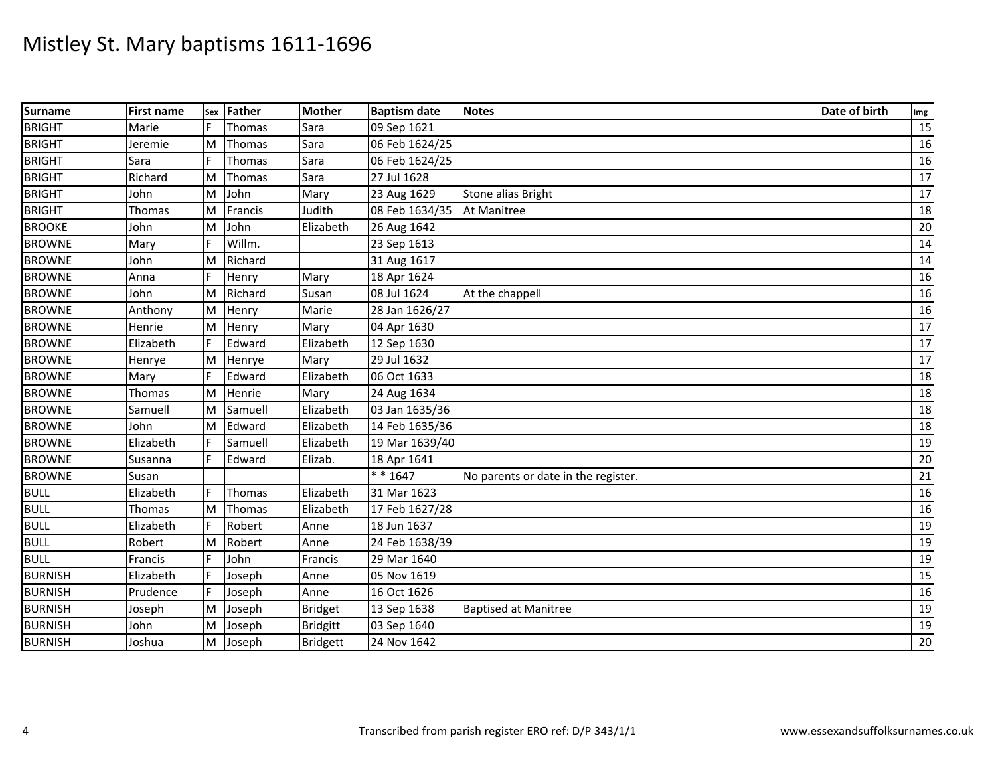| <b>Surname</b> | <b>First name</b> | Sex | Father  | <b>Mother</b>   | <b>Baptism date</b> | <b>Notes</b>                        | Date of birth | Img             |
|----------------|-------------------|-----|---------|-----------------|---------------------|-------------------------------------|---------------|-----------------|
| <b>BRIGHT</b>  | Marie             |     | Thomas  | Sara            | 09 Sep 1621         |                                     |               | 15              |
| <b>BRIGHT</b>  | Jeremie           | M   | Thomas  | Sara            | 06 Feb 1624/25      |                                     |               | 16              |
| <b>BRIGHT</b>  | Sara              |     | Thomas  | Sara            | 06 Feb 1624/25      |                                     |               | 16              |
| <b>BRIGHT</b>  | Richard           | M   | Thomas  | Sara            | 27 Jul 1628         |                                     |               | 17              |
| <b>BRIGHT</b>  | John              | M   | John    | Mary            | 23 Aug 1629         | Stone alias Bright                  |               | 17              |
| <b>BRIGHT</b>  | <b>Thomas</b>     | M   | Francis | Judith          | 08 Feb 1634/35      | At Manitree                         |               | 18              |
| <b>BROOKE</b>  | John              | M   | John    | Elizabeth       | 26 Aug 1642         |                                     |               | 20              |
| <b>BROWNE</b>  | Mary              |     | Willm.  |                 | 23 Sep 1613         |                                     |               | 14              |
| <b>BROWNE</b>  | John              | M   | Richard |                 | 31 Aug 1617         |                                     |               | 14              |
| <b>BROWNE</b>  | Anna              |     | Henry   | Mary            | 18 Apr 1624         |                                     |               | 16              |
| <b>BROWNE</b>  | John              | M   | Richard | Susan           | 08 Jul 1624         | At the chappell                     |               | 16              |
| <b>BROWNE</b>  | Anthony           | M   | Henry   | Marie           | 28 Jan 1626/27      |                                     |               | 16              |
| <b>BROWNE</b>  | Henrie            | M   | Henry   | Mary            | 04 Apr 1630         |                                     |               | $\overline{17}$ |
| <b>BROWNE</b>  | Elizabeth         | F   | Edward  | Elizabeth       | 12 Sep 1630         |                                     |               | 17              |
| <b>BROWNE</b>  | Henrye            | M   | Henrye  | Mary            | 29 Jul 1632         |                                     |               | 17              |
| <b>BROWNE</b>  | Mary              |     | Edward  | Elizabeth       | 06 Oct 1633         |                                     |               | $\overline{18}$ |
| <b>BROWNE</b>  | <b>Thomas</b>     | M   | Henrie  | Mary            | 24 Aug 1634         |                                     |               | 18              |
| <b>BROWNE</b>  | Samuell           | M   | Samuell | Elizabeth       | 03 Jan 1635/36      |                                     |               | 18              |
| <b>BROWNE</b>  | John              | ΙM  | Edward  | Elizabeth       | 14 Feb 1635/36      |                                     |               | 18              |
| <b>BROWNE</b>  | Elizabeth         |     | Samuell | Elizabeth       | 19 Mar 1639/40      |                                     |               | 19              |
| <b>BROWNE</b>  | Susanna           |     | Edward  | Elizab.         | 18 Apr 1641         |                                     |               | 20              |
| <b>BROWNE</b>  | Susan             |     |         |                 | * * 1647            | No parents or date in the register. |               | 21              |
| <b>BULL</b>    | Elizabeth         | F   | Thomas  | Elizabeth       | 31 Mar 1623         |                                     |               | 16              |
| <b>BULL</b>    | Thomas            | ΙM  | Thomas  | Elizabeth       | 17 Feb 1627/28      |                                     |               | 16              |
| <b>BULL</b>    | Elizabeth         |     | Robert  | Anne            | 18 Jun 1637         |                                     |               | 19              |
| <b>BULL</b>    | Robert            | M   | Robert  | Anne            | 24 Feb 1638/39      |                                     |               | 19              |
| <b>BULL</b>    | Francis           |     | John    | Francis         | 29 Mar 1640         |                                     |               | 19              |
| <b>BURNISH</b> | Elizabeth         |     | Joseph  | Anne            | 05 Nov 1619         |                                     |               | 15              |
| <b>BURNISH</b> | Prudence          |     | Joseph  | Anne            | 16 Oct 1626         |                                     |               | 16              |
| <b>BURNISH</b> | Joseph            | M   | Joseph  | <b>Bridget</b>  | 13 Sep 1638         | <b>Baptised at Manitree</b>         |               | 19              |
| <b>BURNISH</b> | John              | M   | Joseph  | <b>Bridgitt</b> | 03 Sep 1640         |                                     |               | 19              |
| <b>BURNISH</b> | Joshua            | M   | Joseph  | <b>Bridgett</b> | 24 Nov 1642         |                                     |               | 20              |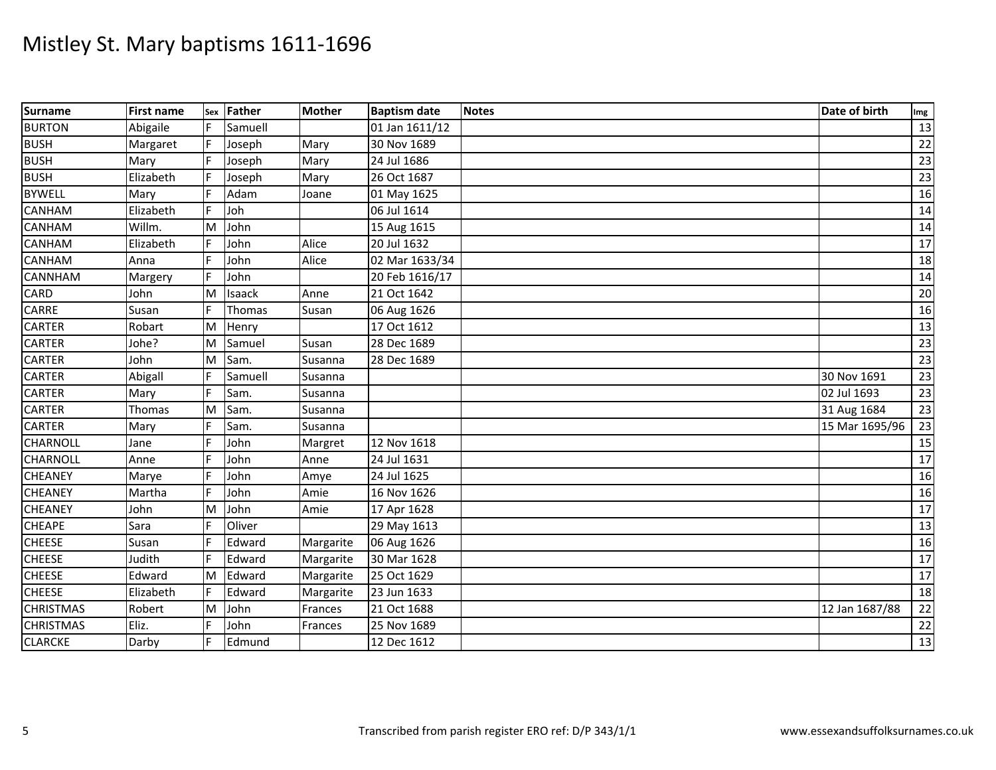| <b>Surname</b>   | <b>First name</b> |    | sex Father | <b>Mother</b> | <b>Baptism date</b> | <b>Notes</b> | Date of birth  | Img             |
|------------------|-------------------|----|------------|---------------|---------------------|--------------|----------------|-----------------|
| <b>BURTON</b>    | Abigaile          |    | Samuell    |               | 01 Jan 1611/12      |              |                | 13              |
| <b>BUSH</b>      | Margaret          |    | Joseph     | Mary          | 30 Nov 1689         |              |                | 22              |
| <b>BUSH</b>      | Mary              |    | Joseph     | Mary          | 24 Jul 1686         |              |                | 23              |
| <b>BUSH</b>      | Elizabeth         |    | Joseph     | Mary          | 26 Oct 1687         |              |                | 23              |
| <b>BYWELL</b>    | Mary              |    | Adam       | Joane         | 01 May 1625         |              |                | 16              |
| CANHAM           | Elizabeth         | F  | Joh        |               | 06 Jul 1614         |              |                | 14              |
| CANHAM           | Willm.            | M  | John       |               | 15 Aug 1615         |              |                | 14              |
| CANHAM           | Elizabeth         |    | John       | Alice         | 20 Jul 1632         |              |                | 17              |
| <b>CANHAM</b>    | Anna              |    | John       | Alice         | 02 Mar 1633/34      |              |                | 18              |
| CANNHAM          | Margery           |    | John       |               | 20 Feb 1616/17      |              |                | 14              |
| CARD             | John              | M  | Isaack     | Anne          | 21 Oct 1642         |              |                | $\overline{20}$ |
| CARRE            | Susan             |    | Thomas     | Susan         | 06 Aug 1626         |              |                | 16              |
| <b>CARTER</b>    | Robart            | M  | Henry      |               | 17 Oct 1612         |              |                | $\overline{13}$ |
| <b>CARTER</b>    | Johe?             | M  | Samuel     | Susan         | 28 Dec 1689         |              |                | 23              |
| <b>CARTER</b>    | John              | M  | Sam.       | Susanna       | 28 Dec 1689         |              |                | 23              |
| <b>CARTER</b>    | Abigall           |    | Samuell    | Susanna       |                     |              | 30 Nov 1691    | 23              |
| <b>CARTER</b>    | Mary              |    | Sam.       | Susanna       |                     |              | 02 Jul 1693    | 23              |
| <b>CARTER</b>    | Thomas            | M  | Sam.       | Susanna       |                     |              | 31 Aug 1684    | 23              |
| <b>CARTER</b>    | Mary              |    | Sam.       | Susanna       |                     |              | 15 Mar 1695/96 | 23              |
| <b>CHARNOLL</b>  | Jane              |    | John       | Margret       | 12 Nov 1618         |              |                | 15              |
| <b>CHARNOLL</b>  | Anne              |    | John       | Anne          | 24 Jul 1631         |              |                | $\overline{17}$ |
| <b>CHEANEY</b>   | Marye             |    | John       | Amye          | 24 Jul 1625         |              |                | 16              |
| <b>CHEANEY</b>   | Martha            |    | John       | Amie          | 16 Nov 1626         |              |                | 16              |
| <b>CHEANEY</b>   | John              | M  | John       | Amie          | 17 Apr 1628         |              |                | 17              |
| <b>CHEAPE</b>    | Sara              |    | Oliver     |               | 29 May 1613         |              |                | 13              |
| <b>CHEESE</b>    | Susan             |    | Edward     | Margarite     | 06 Aug 1626         |              |                | 16              |
| <b>CHEESE</b>    | Judith            |    | Edward     | Margarite     | 30 Mar 1628         |              |                | 17              |
| <b>CHEESE</b>    | Edward            | M  | Edward     | Margarite     | 25 Oct 1629         |              |                | 17              |
| <b>CHEESE</b>    | Elizabeth         | F. | Edward     | Margarite     | 23 Jun 1633         |              |                | 18              |
| <b>CHRISTMAS</b> | Robert            | M  | John       | Frances       | 21 Oct 1688         |              | 12 Jan 1687/88 | 22              |
| <b>CHRISTMAS</b> | Eliz.             |    | John       | Frances       | 25 Nov 1689         |              |                | 22              |
| <b>CLARCKE</b>   | Darby             |    | Edmund     |               | 12 Dec 1612         |              |                | 13              |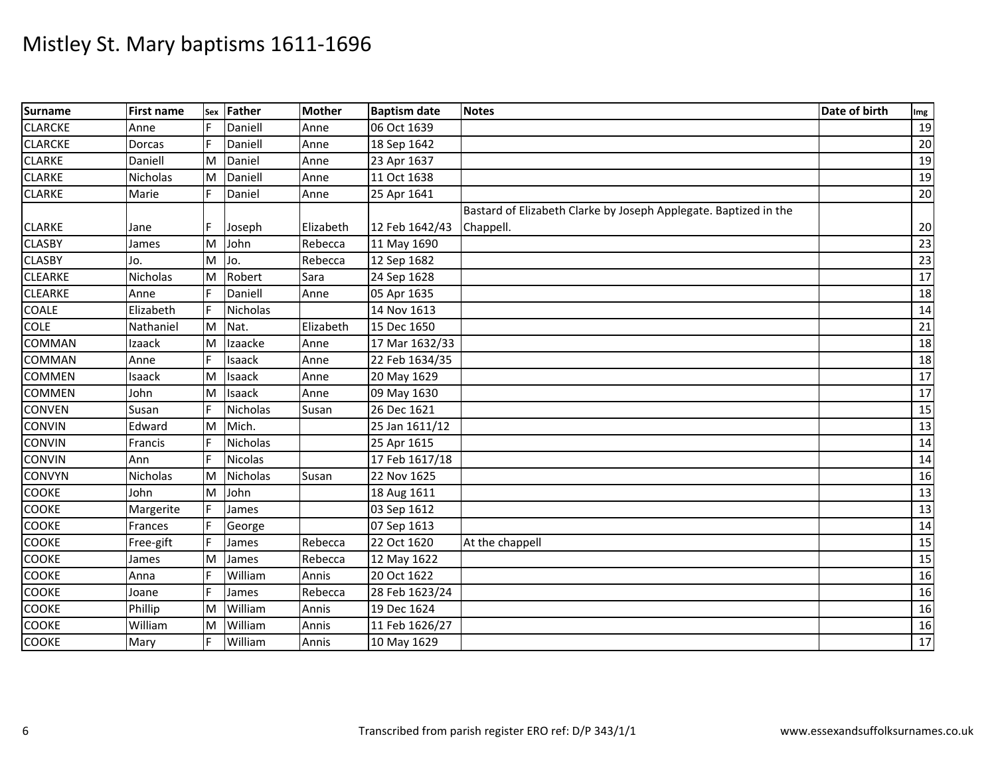| <b>Surname</b> | <b>First name</b> | Sex | Father          | <b>Mother</b> | <b>Baptism date</b> | <b>Notes</b>                                                     | Date of birth | Img             |
|----------------|-------------------|-----|-----------------|---------------|---------------------|------------------------------------------------------------------|---------------|-----------------|
| <b>CLARCKE</b> | Anne              |     | Daniell         | Anne          | 06 Oct 1639         |                                                                  |               | 19              |
| <b>CLARCKE</b> | Dorcas            | F   | Daniell         | Anne          | 18 Sep 1642         |                                                                  |               | $20\,$          |
| <b>CLARKE</b>  | Daniell           | ΙM  | Daniel          | Anne          | 23 Apr 1637         |                                                                  |               | 19              |
| <b>CLARKE</b>  | Nicholas          | M   | Daniell         | Anne          | 11 Oct 1638         |                                                                  |               | 19              |
| <b>CLARKE</b>  | Marie             | F   | Daniel          | Anne          | 25 Apr 1641         |                                                                  |               | 20              |
|                |                   |     |                 |               |                     | Bastard of Elizabeth Clarke by Joseph Applegate. Baptized in the |               |                 |
| <b>CLARKE</b>  | Jane              |     | Joseph          | Elizabeth     | 12 Feb 1642/43      | Chappell.                                                        |               | 20              |
| <b>CLASBY</b>  | James             | M   | John            | Rebecca       | 11 May 1690         |                                                                  |               | 23              |
| <b>CLASBY</b>  | Jo.               | M   | Jo.             | Rebecca       | 12 Sep 1682         |                                                                  |               | 23              |
| <b>CLEARKE</b> | Nicholas          | M   | Robert          | Sara          | 24 Sep 1628         |                                                                  |               | 17              |
| <b>CLEARKE</b> | Anne              |     | Daniell         | Anne          | 05 Apr 1635         |                                                                  |               | 18              |
| <b>COALE</b>   | Elizabeth         |     | Nicholas        |               | 14 Nov 1613         |                                                                  |               | 14              |
| <b>COLE</b>    | Nathaniel         | M   | Nat.            | Elizabeth     | 15 Dec 1650         |                                                                  |               | 21              |
| <b>COMMAN</b>  | Izaack            | M   | Izaacke         | Anne          | 17 Mar 1632/33      |                                                                  |               | 18              |
| <b>COMMAN</b>  | Anne              | F   | Isaack          | Anne          | 22 Feb 1634/35      |                                                                  |               | 18              |
| <b>COMMEN</b>  | Isaack            | M   | Isaack          | Anne          | 20 May 1629         |                                                                  |               | 17              |
| <b>COMMEN</b>  | John              | M   | Isaack          | Anne          | 09 May 1630         |                                                                  |               | 17              |
| <b>CONVEN</b>  | Susan             | F   | <b>Nicholas</b> | Susan         | 26 Dec 1621         |                                                                  |               | $\overline{15}$ |
| <b>CONVIN</b>  | Edward            | M   | Mich.           |               | 25 Jan 1611/12      |                                                                  |               | 13              |
| <b>CONVIN</b>  | Francis           |     | <b>Nicholas</b> |               | 25 Apr 1615         |                                                                  |               | 14              |
| <b>CONVIN</b>  | Ann               |     | <b>Nicolas</b>  |               | 17 Feb 1617/18      |                                                                  |               | 14              |
| <b>CONVYN</b>  | Nicholas          | M   | <b>Nicholas</b> | Susan         | 22 Nov 1625         |                                                                  |               | 16              |
| <b>COOKE</b>   | John              | M   | John            |               | 18 Aug 1611         |                                                                  |               | 13              |
| COOKE          | Margerite         |     | James           |               | 03 Sep 1612         |                                                                  |               | 13              |
| <b>COOKE</b>   | Frances           |     | George          |               | 07 Sep 1613         |                                                                  |               | 14              |
| <b>COOKE</b>   | Free-gift         | E   | James           | Rebecca       | 22 Oct 1620         | At the chappell                                                  |               | 15              |
| <b>COOKE</b>   | James             | M   | James           | Rebecca       | 12 May 1622         |                                                                  |               | 15              |
| <b>COOKE</b>   | Anna              |     | William         | Annis         | 20 Oct 1622         |                                                                  |               | 16              |
| <b>COOKE</b>   | Joane             |     | James           | Rebecca       | 28 Feb 1623/24      |                                                                  |               | 16              |
| <b>COOKE</b>   | Phillip           | M   | William         | Annis         | 19 Dec 1624         |                                                                  |               | 16              |
| <b>COOKE</b>   | William           | M   | William         | Annis         | 11 Feb 1626/27      |                                                                  |               | 16              |
| COOKE          | Mary              | F   | William         | Annis         | 10 May 1629         |                                                                  |               | $17\,$          |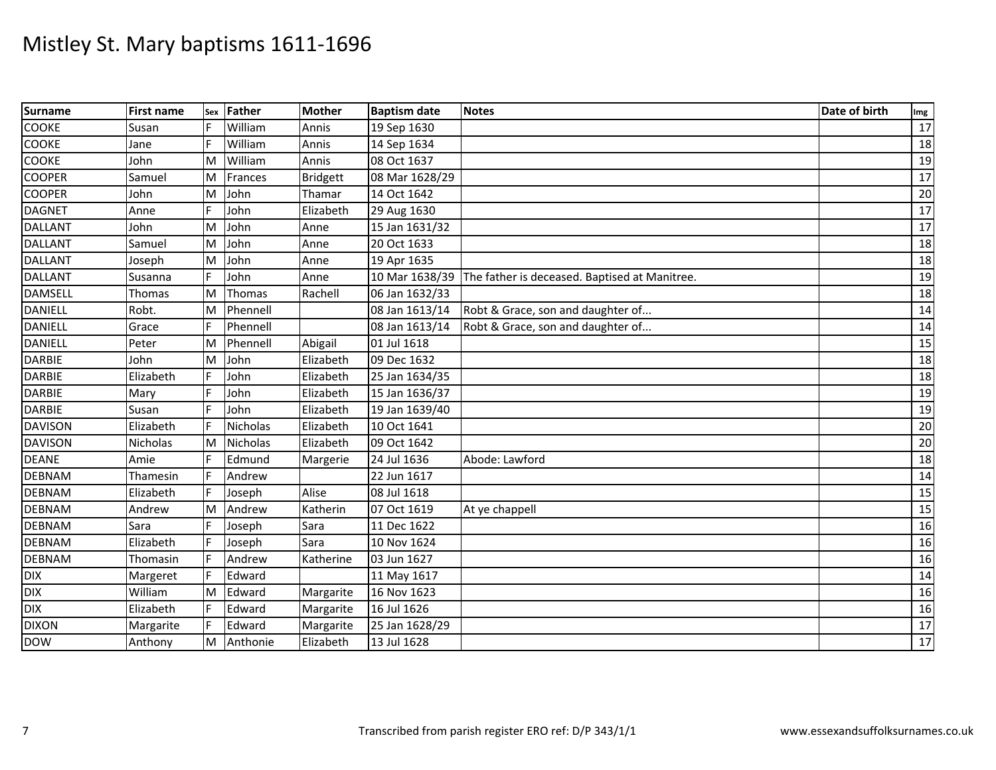| <b>Surname</b> | <b>First name</b> | <b>Sex</b> | Father          | <b>Mother</b>   | <b>Baptism date</b> | <b>Notes</b>                                                 | Date of birth | Img             |
|----------------|-------------------|------------|-----------------|-----------------|---------------------|--------------------------------------------------------------|---------------|-----------------|
| <b>COOKE</b>   | Susan             |            | William         | Annis           | 19 Sep 1630         |                                                              |               | 17              |
| COOKE          | Jane              |            | William         | Annis           | 14 Sep 1634         |                                                              |               | 18              |
| COOKE          | John              | M          | William         | Annis           | 08 Oct 1637         |                                                              |               | 19              |
| <b>COOPER</b>  | Samuel            | M          | Frances         | <b>Bridgett</b> | 08 Mar 1628/29      |                                                              |               | 17              |
| <b>COOPER</b>  | John              | M          | John            | Thamar          | 14 Oct 1642         |                                                              |               | $\overline{20}$ |
| <b>DAGNET</b>  | Anne              | F          | John            | Elizabeth       | 29 Aug 1630         |                                                              |               | 17              |
| <b>DALLANT</b> | John              | M          | John            | Anne            | 15 Jan 1631/32      |                                                              |               | 17              |
| <b>DALLANT</b> | Samuel            | M          | John            | Anne            | 20 Oct 1633         |                                                              |               | 18              |
| <b>DALLANT</b> | Joseph            | M          | John            | Anne            | 19 Apr 1635         |                                                              |               | 18              |
| <b>DALLANT</b> | Susanna           | F          | John            | Anne            |                     | 10 Mar 1638/39 The father is deceased. Baptised at Manitree. |               | 19              |
| <b>DAMSELL</b> | Thomas            | M          | Thomas          | Rachell         | 06 Jan 1632/33      |                                                              |               | 18              |
| <b>DANIELL</b> | Robt.             | M          | Phennell        |                 | 08 Jan 1613/14      | Robt & Grace, son and daughter of                            |               | 14              |
| <b>DANIELL</b> | Grace             | IF.        | Phennell        |                 | 08 Jan 1613/14      | Robt & Grace, son and daughter of                            |               | 14              |
| <b>DANIELL</b> | Peter             | M          | Phennell        | Abigail         | 01 Jul 1618         |                                                              |               | 15              |
| <b>DARBIE</b>  | John              | M          | John            | Elizabeth       | 09 Dec 1632         |                                                              |               | 18              |
| <b>DARBIE</b>  | Elizabeth         |            | John            | Elizabeth       | 25 Jan 1634/35      |                                                              |               | 18              |
| <b>DARBIE</b>  | Mary              |            | John            | Elizabeth       | 15 Jan 1636/37      |                                                              |               | 19              |
| <b>DARBIE</b>  | Susan             |            | John            | Elizabeth       | 19 Jan 1639/40      |                                                              |               | 19              |
| <b>DAVISON</b> | Elizabeth         |            | <b>Nicholas</b> | Elizabeth       | 10 Oct 1641         |                                                              |               | 20              |
| <b>DAVISON</b> | Nicholas          | M          | Nicholas        | Elizabeth       | 09 Oct 1642         |                                                              |               | 20              |
| <b>DEANE</b>   | Amie              |            | Edmund          | Margerie        | 24 Jul 1636         | Abode: Lawford                                               |               | 18              |
| <b>DEBNAM</b>  | Thamesin          |            | Andrew          |                 | 22 Jun 1617         |                                                              |               | 14              |
| <b>DEBNAM</b>  | Elizabeth         |            | Joseph          | Alise           | 08 Jul 1618         |                                                              |               | 15              |
| <b>DEBNAM</b>  | Andrew            | M          | Andrew          | Katherin        | 07 Oct 1619         | At ye chappell                                               |               | 15              |
| <b>DEBNAM</b>  | Sara              |            | Joseph          | Sara            | 11 Dec 1622         |                                                              |               | 16              |
| <b>DEBNAM</b>  | Elizabeth         |            | Joseph          | Sara            | 10 Nov 1624         |                                                              |               | 16              |
| <b>DEBNAM</b>  | Thomasin          |            | Andrew          | Katherine       | 03 Jun 1627         |                                                              |               | 16              |
| <b>DIX</b>     | Margeret          |            | Edward          |                 | 11 May 1617         |                                                              |               | 14              |
| <b>DIX</b>     | William           | M          | Edward          | Margarite       | 16 Nov 1623         |                                                              |               | 16              |
| <b>DIX</b>     | Elizabeth         |            | Edward          | Margarite       | 16 Jul 1626         |                                                              |               | 16              |
| <b>DIXON</b>   | Margarite         |            | Edward          | Margarite       | 25 Jan 1628/29      |                                                              |               | 17              |
| <b>DOW</b>     | Anthony           | M          | Anthonie        | Elizabeth       | 13 Jul 1628         |                                                              |               | $\overline{17}$ |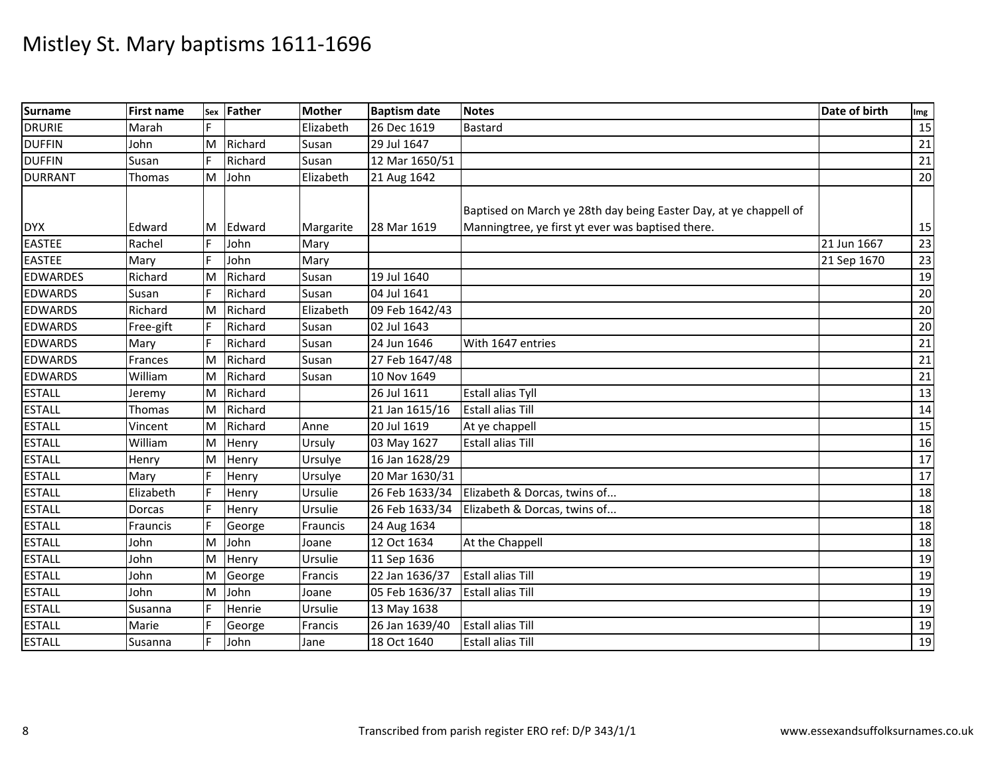| Surname         | <b>First name</b> | Sex | Father  | <b>Mother</b> | <b>Baptism date</b> | <b>Notes</b>                                                      | Date of birth | Img             |
|-----------------|-------------------|-----|---------|---------------|---------------------|-------------------------------------------------------------------|---------------|-----------------|
| <b>DRURIE</b>   | Marah             |     |         | Elizabeth     | 26 Dec 1619         | <b>Bastard</b>                                                    |               | 15              |
| <b>DUFFIN</b>   | John              | M   | Richard | Susan         | 29 Jul 1647         |                                                                   |               | 21              |
| <b>DUFFIN</b>   | Susan             |     | Richard | Susan         | 12 Mar 1650/51      |                                                                   |               | 21              |
| <b>DURRANT</b>  | Thomas            | M   | John    | Elizabeth     | 21 Aug 1642         |                                                                   |               | 20              |
|                 |                   |     |         |               |                     | Baptised on March ye 28th day being Easter Day, at ye chappell of |               |                 |
| <b>DYX</b>      | Edward            | M   | Edward  | Margarite     | 28 Mar 1619         | Manningtree, ye first yt ever was baptised there.                 |               | 15              |
| <b>EASTEE</b>   | Rachel            |     | John    | Mary          |                     |                                                                   | 21 Jun 1667   | 23              |
| <b>EASTEE</b>   | Mary              | F   | John    | Mary          |                     |                                                                   | 21 Sep 1670   | 23              |
| <b>EDWARDES</b> | Richard           | M   | Richard | Susan         | 19 Jul 1640         |                                                                   |               | 19              |
| <b>EDWARDS</b>  | Susan             |     | Richard | Susan         | 04 Jul 1641         |                                                                   |               | 20              |
| <b>EDWARDS</b>  | Richard           | M   | Richard | Elizabeth     | 09 Feb 1642/43      |                                                                   |               | 20              |
| <b>EDWARDS</b>  | Free-gift         |     | Richard | Susan         | 02 Jul 1643         |                                                                   |               | $\overline{20}$ |
| <b>EDWARDS</b>  | Mary              | F   | Richard | Susan         | 24 Jun 1646         | With 1647 entries                                                 |               | 21              |
| <b>EDWARDS</b>  | Frances           | M   | Richard | Susan         | 27 Feb 1647/48      |                                                                   |               | 21              |
| <b>EDWARDS</b>  | William           | M   | Richard | Susan         | 10 Nov 1649         |                                                                   |               | 21              |
| <b>ESTALL</b>   | Jeremy            | M   | Richard |               | 26 Jul 1611         | <b>Estall alias Tyll</b>                                          |               | 13              |
| <b>ESTALL</b>   | Thomas            | M   | Richard |               | 21 Jan 1615/16      | <b>Estall alias Till</b>                                          |               | 14              |
| <b>ESTALL</b>   | Vincent           | M   | Richard | Anne          | 20 Jul 1619         | At ye chappell                                                    |               | 15              |
| <b>ESTALL</b>   | William           | M   | Henry   | Ursuly        | 03 May 1627         | <b>Estall alias Till</b>                                          |               | 16              |
| <b>ESTALL</b>   | Henry             | M   | Henry   | Ursulye       | 16 Jan 1628/29      |                                                                   |               | 17              |
| <b>ESTALL</b>   | Mary              | F   | Henry   | Ursulye       | 20 Mar 1630/31      |                                                                   |               | 17              |
| <b>ESTALL</b>   | Elizabeth         |     | Henry   | Ursulie       | 26 Feb 1633/34      | Elizabeth & Dorcas, twins of                                      |               | 18              |
| <b>ESTALL</b>   | Dorcas            |     | Henry   | Ursulie       | 26 Feb 1633/34      | Elizabeth & Dorcas, twins of                                      |               | 18              |
| <b>ESTALL</b>   | Frauncis          |     | George  | Frauncis      | 24 Aug 1634         |                                                                   |               | 18              |
| <b>ESTALL</b>   | John              | M   | John    | Joane         | 12 Oct 1634         | At the Chappell                                                   |               | 18              |
| <b>ESTALL</b>   | John              | M   | Henry   | Ursulie       | 11 Sep 1636         |                                                                   |               | 19              |
| <b>ESTALL</b>   | John              | M   | George  | Francis       | 22 Jan 1636/37      | <b>Estall alias Till</b>                                          |               | 19              |
| <b>ESTALL</b>   | John              | M   | John    | Joane         | 05 Feb 1636/37      | <b>Estall alias Till</b>                                          |               | 19              |
| <b>ESTALL</b>   | Susanna           |     | Henrie  | Ursulie       | 13 May 1638         |                                                                   |               | 19              |
| <b>ESTALL</b>   | Marie             |     | George  | Francis       | 26 Jan 1639/40      | <b>Estall alias Till</b>                                          |               | 19              |
| <b>ESTALL</b>   | Susanna           | F   | John    | Jane          | 18 Oct 1640         | <b>Estall alias Till</b>                                          |               | 19              |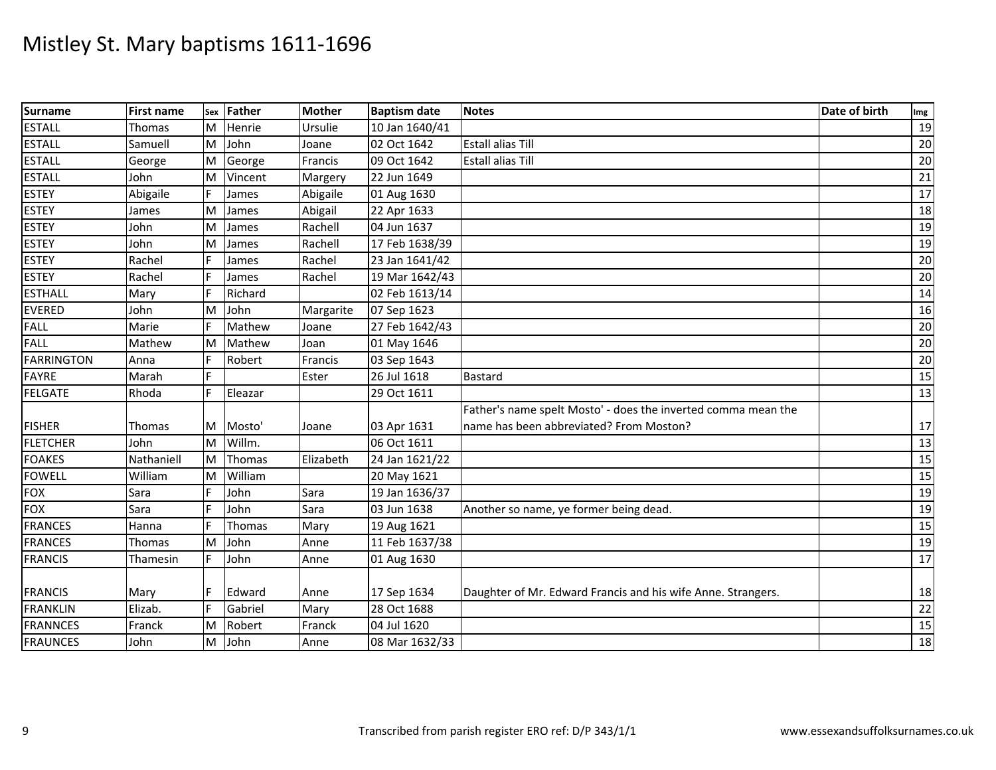| <b>Surname</b>    | <b>First name</b> |    | sex Father | <b>Mother</b> | <b>Baptism date</b> | <b>Notes</b>                                                  | Date of birth | Img             |
|-------------------|-------------------|----|------------|---------------|---------------------|---------------------------------------------------------------|---------------|-----------------|
| <b>ESTALL</b>     | Thomas            | ΙM | Henrie     | Ursulie       | 10 Jan 1640/41      |                                                               |               | 19              |
| <b>ESTALL</b>     | Samuell           | M  | John       | Joane         | 02 Oct 1642         | <b>Estall alias Till</b>                                      |               | 20              |
| <b>ESTALL</b>     | George            | M  | George     | Francis       | 09 Oct 1642         | <b>Estall alias Till</b>                                      |               | 20              |
| <b>ESTALL</b>     | John              | M  | Vincent    | Margery       | 22 Jun 1649         |                                                               |               | 21              |
| <b>ESTEY</b>      | Abigaile          | F. | James      | Abigaile      | 01 Aug 1630         |                                                               |               | 17              |
| <b>ESTEY</b>      | James             | M  | James      | Abigail       | 22 Apr 1633         |                                                               |               | 18              |
| <b>ESTEY</b>      | John              | M  | James      | Rachell       | 04 Jun 1637         |                                                               |               | 19              |
| <b>ESTEY</b>      | John              | M  | James      | Rachell       | 17 Feb 1638/39      |                                                               |               | 19              |
| <b>ESTEY</b>      | Rachel            | F  | James      | Rachel        | 23 Jan 1641/42      |                                                               |               | 20              |
| <b>ESTEY</b>      | Rachel            |    | James      | Rachel        | 19 Mar 1642/43      |                                                               |               | 20              |
| <b>ESTHALL</b>    | Mary              |    | Richard    |               | 02 Feb 1613/14      |                                                               |               | 14              |
| <b>EVERED</b>     | John              | M  | John       | Margarite     | 07 Sep 1623         |                                                               |               | 16              |
| <b>FALL</b>       | Marie             | F  | Mathew     | Joane         | 27 Feb 1642/43      |                                                               |               | 20              |
| <b>FALL</b>       | Mathew            | ΙM | Mathew     | Joan          | 01 May 1646         |                                                               |               | 20              |
| <b>FARRINGTON</b> | Anna              | F  | Robert     | Francis       | 03 Sep 1643         |                                                               |               | 20              |
| <b>FAYRE</b>      | Marah             |    |            | Ester         | 26 Jul 1618         | <b>Bastard</b>                                                |               | 15              |
| <b>FELGATE</b>    | Rhoda             | F. | Eleazar    |               | 29 Oct 1611         |                                                               |               | 13              |
|                   |                   |    |            |               |                     | Father's name spelt Mosto' - does the inverted comma mean the |               |                 |
| <b>FISHER</b>     | Thomas            | M  | Mosto'     | Joane         | 03 Apr 1631         | name has been abbreviated? From Moston?                       |               | 17              |
| <b>FLETCHER</b>   | John              | M  | Willm.     |               | 06 Oct 1611         |                                                               |               | 13              |
| <b>FOAKES</b>     | Nathaniell        | M  | Thomas     | Elizabeth     | 24 Jan 1621/22      |                                                               |               | 15              |
| <b>FOWELL</b>     | William           | ΙM | William    |               | 20 May 1621         |                                                               |               | 15              |
| <b>FOX</b>        | Sara              | F  | John       | Sara          | 19 Jan 1636/37      |                                                               |               | 19              |
| <b>FOX</b>        | Sara              |    | John       | Sara          | 03 Jun 1638         | Another so name, ye former being dead.                        |               | 19              |
| <b>FRANCES</b>    | Hanna             |    | Thomas     | Mary          | 19 Aug 1621         |                                                               |               | 15              |
| <b>FRANCES</b>    | Thomas            | M  | John       | Anne          | 11 Feb 1637/38      |                                                               |               | 19              |
| <b>FRANCIS</b>    | Thamesin          | F  | John       | Anne          | 01 Aug 1630         |                                                               |               | 17              |
|                   |                   |    |            |               |                     |                                                               |               |                 |
| <b>FRANCIS</b>    | Mary              |    | Edward     | Anne          | 17 Sep 1634         | Daughter of Mr. Edward Francis and his wife Anne. Strangers.  |               | 18              |
| <b>FRANKLIN</b>   | Elizab.           | F  | Gabriel    | Mary          | 28 Oct 1688         |                                                               |               | $22\,$          |
| <b>FRANNCES</b>   | Franck            | M  | Robert     | Franck        | 04 Jul 1620         |                                                               |               | 15              |
| <b>FRAUNCES</b>   | John              | M  | John       | Anne          | 08 Mar 1632/33      |                                                               |               | $\overline{18}$ |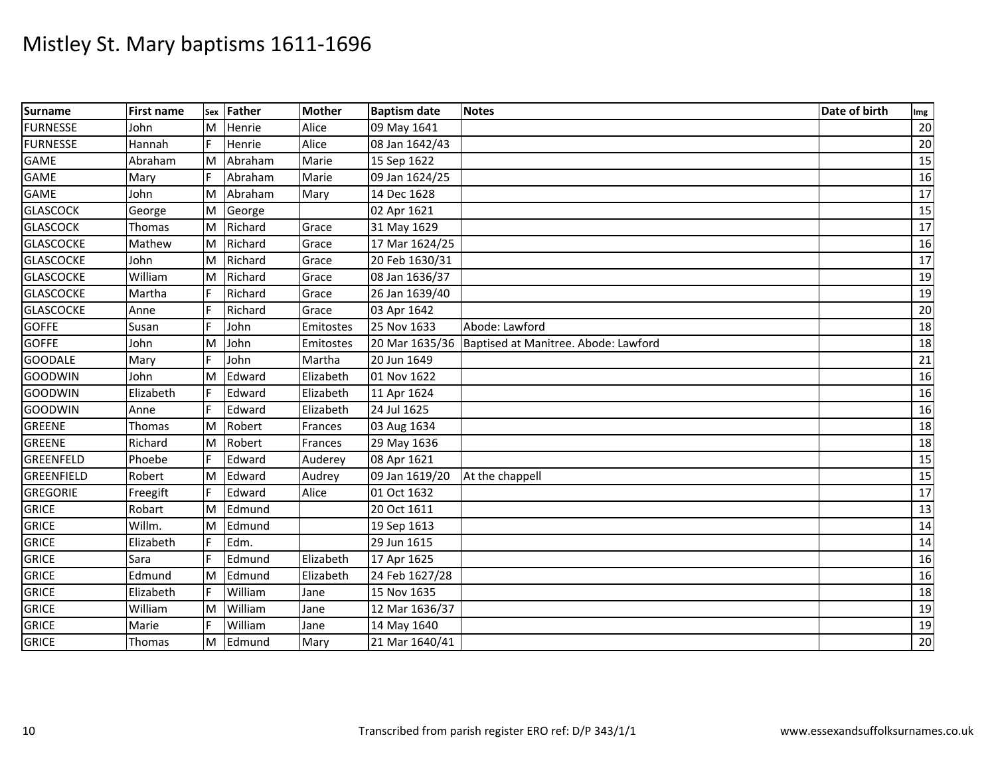| <b>Surname</b>   | <b>First name</b> |    | Sex Father | <b>Mother</b> | <b>Baptism date</b> | <b>Notes</b>                                          | Date of birth | Img |
|------------------|-------------------|----|------------|---------------|---------------------|-------------------------------------------------------|---------------|-----|
| <b>FURNESSE</b>  | John              | M  | Henrie     | Alice         | 09 May 1641         |                                                       |               | 20  |
| <b>FURNESSE</b>  | Hannah            |    | Henrie     | Alice         | 08 Jan 1642/43      |                                                       |               | 20  |
| <b>GAME</b>      | Abraham           | ΙM | Abraham    | Marie         | 15 Sep 1622         |                                                       |               | 15  |
| <b>GAME</b>      | Mary              | F  | Abraham    | Marie         | 09 Jan 1624/25      |                                                       |               | 16  |
| <b>GAME</b>      | John              | ΙM | Abraham    | Mary          | 14 Dec 1628         |                                                       |               | 17  |
| <b>GLASCOCK</b>  | George            | M  | George     |               | 02 Apr 1621         |                                                       |               | 15  |
| <b>GLASCOCK</b>  | Thomas            | ΙM | Richard    | Grace         | 31 May 1629         |                                                       |               | 17  |
| <b>GLASCOCKE</b> | Mathew            | M  | Richard    | Grace         | 17 Mar 1624/25      |                                                       |               | 16  |
| <b>GLASCOCKE</b> | John              | M  | Richard    | Grace         | 20 Feb 1630/31      |                                                       |               | 17  |
| <b>GLASCOCKE</b> | William           | M  | Richard    | Grace         | 08 Jan 1636/37      |                                                       |               | 19  |
| <b>GLASCOCKE</b> | Martha            |    | Richard    | Grace         | 26 Jan 1639/40      |                                                       |               | 19  |
| <b>GLASCOCKE</b> | Anne              |    | Richard    | Grace         | 03 Apr 1642         |                                                       |               | 20  |
| <b>GOFFE</b>     | Susan             | F  | John       | Emitostes     | 25 Nov 1633         | Abode: Lawford                                        |               | 18  |
| <b>GOFFE</b>     | John              | M  | John       | Emitostes     |                     | 20 Mar 1635/36   Baptised at Manitree. Abode: Lawford |               | 18  |
| <b>GOODALE</b>   | Mary              | F  | John       | Martha        | 20 Jun 1649         |                                                       |               | 21  |
| <b>GOODWIN</b>   | John              | M  | Edward     | Elizabeth     | 01 Nov 1622         |                                                       |               | 16  |
| <b>GOODWIN</b>   | Elizabeth         |    | Edward     | Elizabeth     | 11 Apr 1624         |                                                       |               | 16  |
| GOODWIN          | Anne              | F. | Edward     | Elizabeth     | 24 Jul 1625         |                                                       |               | 16  |
| <b>GREENE</b>    | <b>Thomas</b>     | M  | Robert     | Frances       | 03 Aug 1634         |                                                       |               | 18  |
| <b>GREENE</b>    | Richard           | ΙM | Robert     | Frances       | 29 May 1636         |                                                       |               | 18  |
| <b>GREENFELD</b> | Phoebe            |    | Edward     | Auderey       | 08 Apr 1621         |                                                       |               | 15  |
| GREENFIELD       | Robert            | ΙM | Edward     | Audrey        | 09 Jan 1619/20      | At the chappell                                       |               | 15  |
| <b>GREGORIE</b>  | Freegift          | F  | Edward     | Alice         | 01 Oct 1632         |                                                       |               | 17  |
| <b>GRICE</b>     | Robart            | ΙM | Edmund     |               | 20 Oct 1611         |                                                       |               | 13  |
| <b>GRICE</b>     | Willm.            | M  | Edmund     |               | 19 Sep 1613         |                                                       |               | 14  |
| <b>GRICE</b>     | Elizabeth         | F. | Edm.       |               | 29 Jun 1615         |                                                       |               | 14  |
| <b>GRICE</b>     | Sara              |    | Edmund     | Elizabeth     | 17 Apr 1625         |                                                       |               | 16  |
| <b>GRICE</b>     | Edmund            | M  | Edmund     | Elizabeth     | 24 Feb 1627/28      |                                                       |               | 16  |
| <b>GRICE</b>     | Elizabeth         |    | William    | Jane          | 15 Nov 1635         |                                                       |               | 18  |
| <b>GRICE</b>     | William           | M  | William    | Jane          | 12 Mar 1636/37      |                                                       |               | 19  |
| <b>GRICE</b>     | Marie             | F  | William    | Jane          | 14 May 1640         |                                                       |               | 19  |
| <b>GRICE</b>     | Thomas            | M  | Edmund     | Mary          | 21 Mar 1640/41      |                                                       |               | 20  |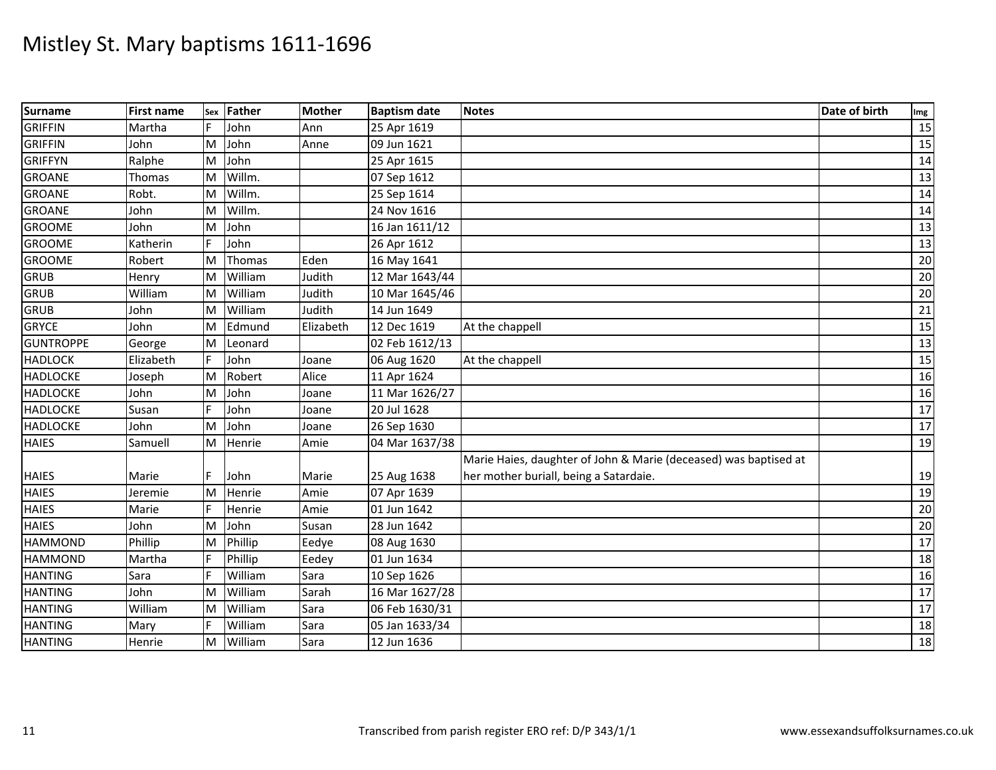| <b>Surname</b>   | <b>First name</b> | Sex | Father  | <b>Mother</b> | <b>Baptism date</b> | <b>Notes</b>                                                     | Date of birth | Img             |
|------------------|-------------------|-----|---------|---------------|---------------------|------------------------------------------------------------------|---------------|-----------------|
| <b>GRIFFIN</b>   | Martha            |     | John    | Ann           | 25 Apr 1619         |                                                                  |               | 15              |
| <b>GRIFFIN</b>   | John              | M   | John    | Anne          | 09 Jun 1621         |                                                                  |               | 15              |
| <b>GRIFFYN</b>   | Ralphe            | M   | John    |               | 25 Apr 1615         |                                                                  |               | 14              |
| <b>GROANE</b>    | Thomas            | M   | Willm.  |               | 07 Sep 1612         |                                                                  |               | 13              |
| <b>GROANE</b>    | Robt.             | M   | Willm.  |               | 25 Sep 1614         |                                                                  |               | $\overline{14}$ |
| <b>GROANE</b>    | John              | M   | Willm.  |               | 24 Nov 1616         |                                                                  |               | 14              |
| <b>GROOME</b>    | John              | M   | John    |               | 16 Jan 1611/12      |                                                                  |               | 13              |
| <b>GROOME</b>    | Katherin          |     | John    |               | 26 Apr 1612         |                                                                  |               | 13              |
| <b>GROOME</b>    | Robert            | M   | Thomas  | Eden          | 16 May 1641         |                                                                  |               | 20              |
| <b>GRUB</b>      | Henry             | M   | William | Judith        | 12 Mar 1643/44      |                                                                  |               | 20              |
| <b>GRUB</b>      | William           | M   | William | Judith        | 10 Mar 1645/46      |                                                                  |               | 20              |
| <b>GRUB</b>      | John              | M   | William | Judith        | 14 Jun 1649         |                                                                  |               | 21              |
| <b>GRYCE</b>     | John              | M   | Edmund  | Elizabeth     | 12 Dec 1619         | At the chappell                                                  |               | 15              |
| <b>GUNTROPPE</b> | George            | M   | Leonard |               | 02 Feb 1612/13      |                                                                  |               | 13              |
| <b>HADLOCK</b>   | Elizabeth         | F   | John    | Joane         | 06 Aug 1620         | At the chappell                                                  |               | 15              |
| <b>HADLOCKE</b>  | Joseph            | M   | Robert  | Alice         | 11 Apr 1624         |                                                                  |               | 16              |
| <b>HADLOCKE</b>  | John              | M   | John    | Joane         | 11 Mar 1626/27      |                                                                  |               | 16              |
| <b>HADLOCKE</b>  | Susan             |     | John    | Joane         | 20 Jul 1628         |                                                                  |               | $\overline{17}$ |
| <b>HADLOCKE</b>  | John              | M   | John    | Joane         | 26 Sep 1630         |                                                                  |               | 17              |
| <b>HAIES</b>     | Samuell           | M   | Henrie  | Amie          | 04 Mar 1637/38      |                                                                  |               | $\overline{19}$ |
|                  |                   |     |         |               |                     | Marie Haies, daughter of John & Marie (deceased) was baptised at |               |                 |
| <b>HAIES</b>     | Marie             | F   | John    | Marie         | 25 Aug 1638         | her mother buriall, being a Satardaie.                           |               | 19              |
| <b>HAIES</b>     | Jeremie           | M   | Henrie  | Amie          | 07 Apr 1639         |                                                                  |               | 19              |
| <b>HAIES</b>     | Marie             |     | Henrie  | Amie          | 01 Jun 1642         |                                                                  |               | 20              |
| <b>HAIES</b>     | John              | M   | John    | Susan         | 28 Jun 1642         |                                                                  |               | 20              |
| <b>HAMMOND</b>   | Phillip           | M   | Phillip | Eedye         | 08 Aug 1630         |                                                                  |               | 17              |
| <b>HAMMOND</b>   | Martha            | F   | Phillip | Eedey         | 01 Jun 1634         |                                                                  |               | 18              |
| <b>HANTING</b>   | Sara              | E   | William | Sara          | 10 Sep 1626         |                                                                  |               | 16              |
| <b>HANTING</b>   | John              | M   | William | Sarah         | 16 Mar 1627/28      |                                                                  |               | 17              |
| <b>HANTING</b>   | William           | M   | William | Sara          | 06 Feb 1630/31      |                                                                  |               | 17              |
| <b>HANTING</b>   | Mary              | F   | William | Sara          | 05 Jan 1633/34      |                                                                  |               | 18              |
| <b>HANTING</b>   | Henrie            | M   | William | Sara          | 12 Jun 1636         |                                                                  |               | 18              |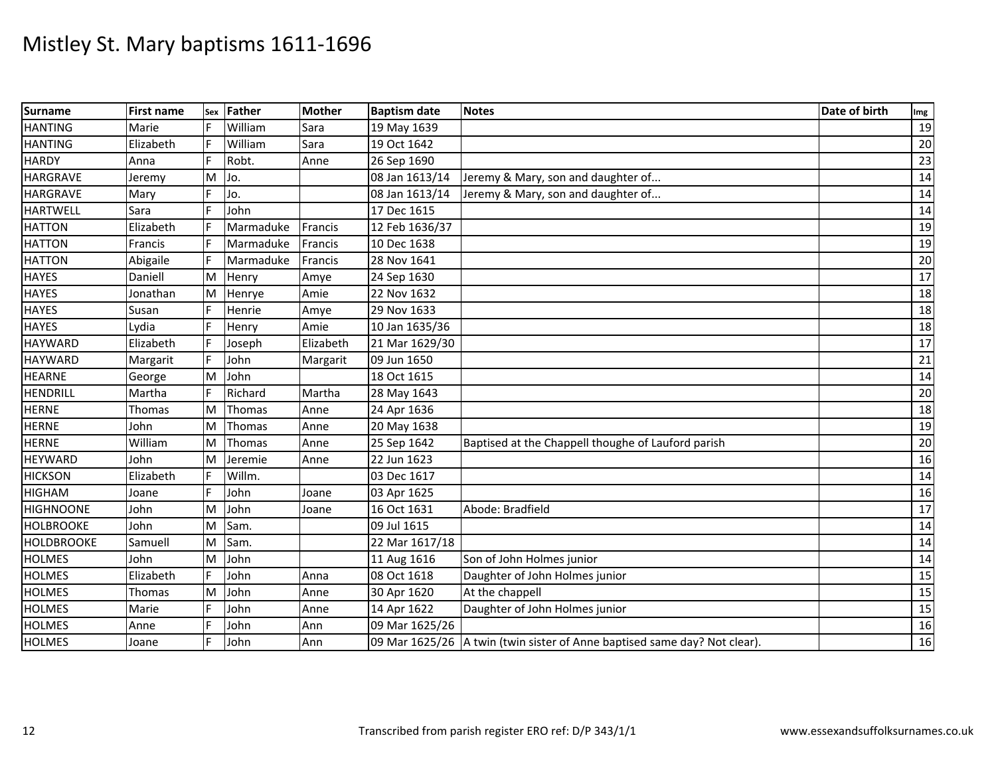| <b>Surname</b>    | <b>First name</b> | Sex | Father    | <b>Mother</b> | <b>Baptism date</b> | <b>Notes</b>                                                              | Date of birth | Img             |
|-------------------|-------------------|-----|-----------|---------------|---------------------|---------------------------------------------------------------------------|---------------|-----------------|
| <b>HANTING</b>    | Marie             |     | William   | Sara          | 19 May 1639         |                                                                           |               | 19              |
| <b>HANTING</b>    | Elizabeth         |     | William   | Sara          | 19 Oct 1642         |                                                                           |               | 20              |
| <b>HARDY</b>      | Anna              |     | Robt.     | Anne          | 26 Sep 1690         |                                                                           |               | 23              |
| <b>HARGRAVE</b>   | Jeremy            | M   | Jo.       |               | 08 Jan 1613/14      | Jeremy & Mary, son and daughter of                                        |               | 14              |
| <b>HARGRAVE</b>   | Mary              |     | Jo.       |               | 08 Jan 1613/14      | Jeremy & Mary, son and daughter of                                        |               | 14              |
| <b>HARTWELL</b>   | Sara              |     | John      |               | 17 Dec 1615         |                                                                           |               | 14              |
| <b>HATTON</b>     | Elizabeth         |     | Marmaduke | Francis       | 12 Feb 1636/37      |                                                                           |               | 19              |
| <b>HATTON</b>     | Francis           |     | Marmaduke | Francis       | 10 Dec 1638         |                                                                           |               | 19              |
| <b>HATTON</b>     | Abigaile          |     | Marmaduke | Francis       | 28 Nov 1641         |                                                                           |               | 20              |
| <b>HAYES</b>      | Daniell           | Iм  | Henry     | Amye          | 24 Sep 1630         |                                                                           |               | 17              |
| <b>HAYES</b>      | Jonathan          | M   | Henrye    | Amie          | 22 Nov 1632         |                                                                           |               | 18              |
| <b>HAYES</b>      | Susan             |     | Henrie    | Amye          | 29 Nov 1633         |                                                                           |               | 18              |
| <b>HAYES</b>      | Lydia             |     | Henry     | Amie          | 10 Jan 1635/36      |                                                                           |               | $\overline{18}$ |
| <b>HAYWARD</b>    | Elizabeth         |     | Joseph    | Elizabeth     | 21 Mar 1629/30      |                                                                           |               | 17              |
| <b>HAYWARD</b>    | Margarit          |     | John      | Margarit      | 09 Jun 1650         |                                                                           |               | 21              |
| <b>HEARNE</b>     | George            | M   | John      |               | 18 Oct 1615         |                                                                           |               | 14              |
| <b>HENDRILL</b>   | Martha            |     | Richard   | Martha        | 28 May 1643         |                                                                           |               | 20              |
| <b>HERNE</b>      | Thomas            | M   | Thomas    | Anne          | 24 Apr 1636         |                                                                           |               | 18              |
| <b>HERNE</b>      | John              | M   | Thomas    | Anne          | 20 May 1638         |                                                                           |               | 19              |
| <b>HERNE</b>      | William           | M   | Thomas    | Anne          | 25 Sep 1642         | Baptised at the Chappell thoughe of Lauford parish                        |               | 20              |
| <b>HEYWARD</b>    | John              | M   | Jeremie   | Anne          | 22 Jun 1623         |                                                                           |               | 16              |
| <b>HICKSON</b>    | Elizabeth         | IF  | Willm.    |               | 03 Dec 1617         |                                                                           |               | 14              |
| <b>HIGHAM</b>     | Joane             |     | John      | Joane         | 03 Apr 1625         |                                                                           |               | 16              |
| <b>HIGHNOONE</b>  | John              | M   | John      | Joane         | 16 Oct 1631         | Abode: Bradfield                                                          |               | 17              |
| <b>HOLBROOKE</b>  | John              | M   | Sam.      |               | 09 Jul 1615         |                                                                           |               | 14              |
| <b>HOLDBROOKE</b> | Samuell           | M   | Sam.      |               | 22 Mar 1617/18      |                                                                           |               | 14              |
| <b>HOLMES</b>     | John              | M   | John      |               | 11 Aug 1616         | Son of John Holmes junior                                                 |               | 14              |
| <b>HOLMES</b>     | Elizabeth         |     | John      | Anna          | 08 Oct 1618         | Daughter of John Holmes junior                                            |               | 15              |
| <b>HOLMES</b>     | Thomas            | M   | John      | Anne          | 30 Apr 1620         | At the chappell                                                           |               | 15              |
| <b>HOLMES</b>     | Marie             |     | John      | Anne          | 14 Apr 1622         | Daughter of John Holmes junior                                            |               | 15              |
| <b>HOLMES</b>     | Anne              |     | John      | Ann           | 09 Mar 1625/26      |                                                                           |               | 16              |
| <b>HOLMES</b>     | Joane             | F   | John      | Ann           |                     | 09 Mar 1625/26 A twin (twin sister of Anne baptised same day? Not clear). |               | 16              |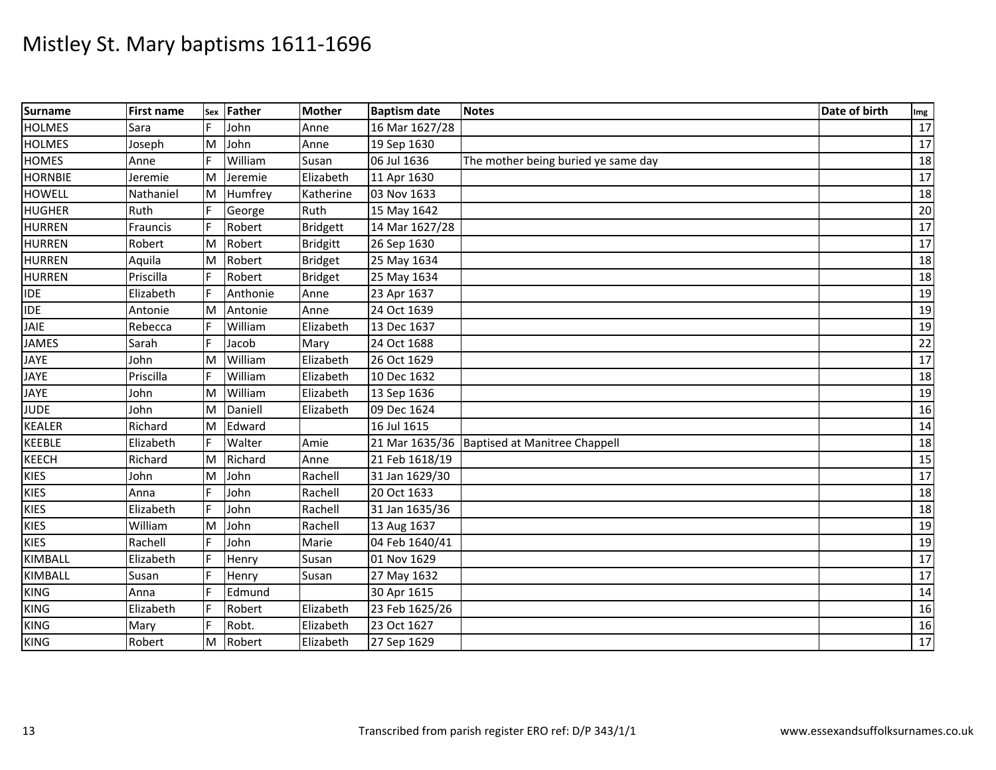| <b>Surname</b> | <b>First name</b> | Sex | Father   | <b>Mother</b>   | <b>Baptism date</b> | <b>Notes</b>                                 | Date of birth | Img  |
|----------------|-------------------|-----|----------|-----------------|---------------------|----------------------------------------------|---------------|------|
| <b>HOLMES</b>  | Sara              |     | John     | Anne            | 16 Mar 1627/28      |                                              |               | 17   |
| <b>HOLMES</b>  | Joseph            | M   | John     | Anne            | 19 Sep 1630         |                                              |               | 17   |
| <b>HOMES</b>   | Anne              |     | William  | Susan           | 06 Jul 1636         | The mother being buried ye same day          |               | 18   |
| <b>HORNBIE</b> | Jeremie           | M   | Jeremie  | Elizabeth       | 11 Apr 1630         |                                              |               | 17   |
| <b>HOWELL</b>  | Nathaniel         | M   | Humfrey  | Katherine       | 03 Nov 1633         |                                              |               | 18   |
| <b>HUGHER</b>  | Ruth              |     | George   | Ruth            | 15 May 1642         |                                              |               | 20   |
| <b>HURREN</b>  | Frauncis          | F   | Robert   | <b>Bridgett</b> | 14 Mar 1627/28      |                                              |               | 17   |
| <b>HURREN</b>  | Robert            | M   | Robert   | <b>Bridgitt</b> | 26 Sep 1630         |                                              |               | 17   |
| <b>HURREN</b>  | Aquila            | ΙM  | Robert   | <b>Bridget</b>  | 25 May 1634         |                                              |               | 18   |
| <b>HURREN</b>  | Priscilla         |     | Robert   | <b>Bridget</b>  | 25 May 1634         |                                              |               | 18   |
| <b>IDE</b>     | Elizabeth         | E   | Anthonie | Anne            | 23 Apr 1637         |                                              |               | 19   |
| <b>IDE</b>     | Antonie           | M   | Antonie  | Anne            | 24 Oct 1639         |                                              |               | 19   |
| JAIE           | Rebecca           | F   | William  | Elizabeth       | 13 Dec 1637         |                                              |               | 19   |
| <b>JAMES</b>   | Sarah             | E   | Jacob    | Mary            | 24 Oct 1688         |                                              |               | 22   |
| <b>JAYE</b>    | John              | M   | William  | Elizabeth       | 26 Oct 1629         |                                              |               | $17$ |
| JAYE           | Priscilla         |     | William  | Elizabeth       | 10 Dec 1632         |                                              |               | 18   |
| <b>JAYE</b>    | John              | M   | William  | Elizabeth       | 13 Sep 1636         |                                              |               | 19   |
| <b>JUDE</b>    | John              | M   | Daniell  | Elizabeth       | 09 Dec 1624         |                                              |               | 16   |
| <b>KEALER</b>  | Richard           | ΙM  | Edward   |                 | 16 Jul 1615         |                                              |               | 14   |
| KEEBLE         | Elizabeth         |     | Walter   | Amie            |                     | 21 Mar 1635/36 Baptised at Manitree Chappell |               | 18   |
| <b>KEECH</b>   | Richard           | M   | Richard  | Anne            | 21 Feb 1618/19      |                                              |               | 15   |
| <b>KIES</b>    | John              | M   | John     | Rachell         | 31 Jan 1629/30      |                                              |               | 17   |
| <b>KIES</b>    | Anna              | F   | John     | Rachell         | 20 Oct 1633         |                                              |               | 18   |
| <b>KIES</b>    | Elizabeth         | F   | John     | Rachell         | 31 Jan 1635/36      |                                              |               | 18   |
| <b>KIES</b>    | William           | M   | John     | Rachell         | 13 Aug 1637         |                                              |               | 19   |
| <b>KIES</b>    | Rachell           |     | John     | Marie           | 04 Feb 1640/41      |                                              |               | 19   |
| KIMBALL        | Elizabeth         |     | Henry    | Susan           | 01 Nov 1629         |                                              |               | 17   |
| KIMBALL        | Susan             |     | Henry    | Susan           | 27 May 1632         |                                              |               | $17$ |
| <b>KING</b>    | Anna              |     | Edmund   |                 | 30 Apr 1615         |                                              |               | 14   |
| <b>KING</b>    | Elizabeth         |     | Robert   | Elizabeth       | 23 Feb 1625/26      |                                              |               | 16   |
| <b>KING</b>    | Mary              | F   | Robt.    | Elizabeth       | 23 Oct 1627         |                                              |               | 16   |
| <b>KING</b>    | Robert            | M   | Robert   | Elizabeth       | 27 Sep 1629         |                                              |               | 17   |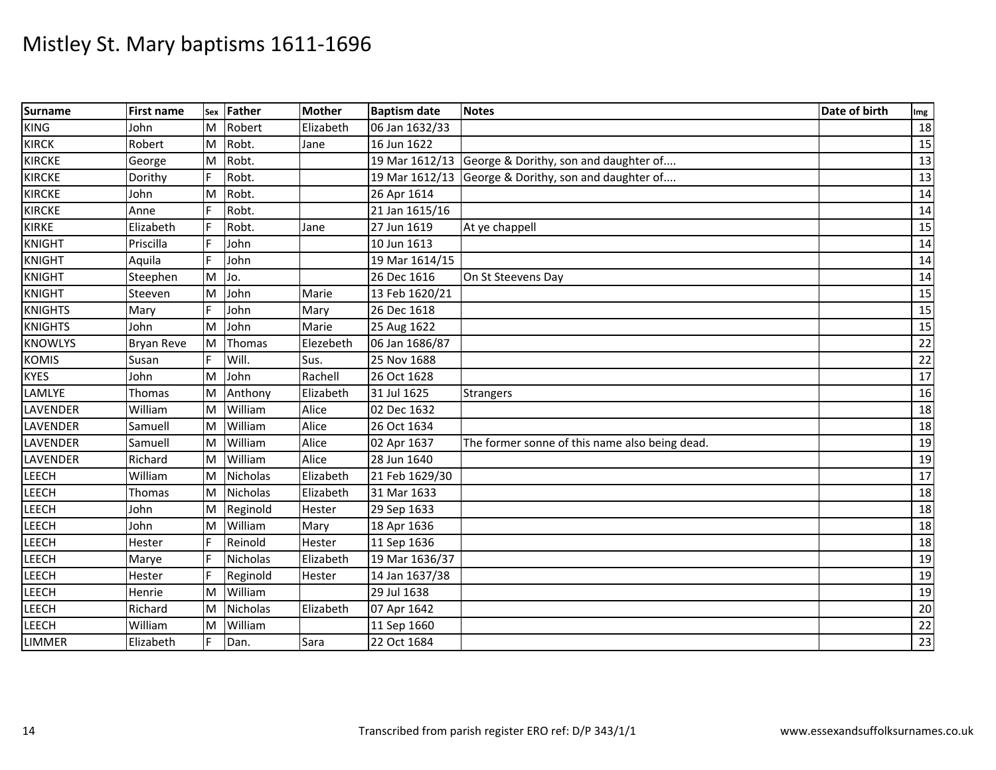| <b>Surname</b>  | <b>First name</b> |    | sex Father      | <b>Mother</b> | <b>Baptism date</b> | <b>Notes</b>                                         | Date of birth | Img             |
|-----------------|-------------------|----|-----------------|---------------|---------------------|------------------------------------------------------|---------------|-----------------|
| <b>KING</b>     | John              | M  | Robert          | Elizabeth     | 06 Jan 1632/33      |                                                      |               | 18              |
| <b>KIRCK</b>    | Robert            | Iм | Robt.           | Jane          | 16 Jun 1622         |                                                      |               | 15              |
| <b>KIRCKE</b>   | George            | M  | Robt.           |               |                     | 19 Mar 1612/13 George & Dorithy, son and daughter of |               | 13              |
| <b>KIRCKE</b>   | Dorithy           | F  | Robt.           |               |                     | 19 Mar 1612/13 George & Dorithy, son and daughter of |               | 13              |
| <b>KIRCKE</b>   | John              | M  | Robt.           |               | 26 Apr 1614         |                                                      |               | 14              |
| <b>KIRCKE</b>   | Anne              |    | Robt.           |               | 21 Jan 1615/16      |                                                      |               | 14              |
| <b>KIRKE</b>    | Elizabeth         |    | Robt.           | Jane          | 27 Jun 1619         | At ye chappell                                       |               | 15              |
| <b>KNIGHT</b>   | Priscilla         |    | John            |               | 10 Jun 1613         |                                                      |               | 14              |
| <b>KNIGHT</b>   | Aquila            |    | John            |               | 19 Mar 1614/15      |                                                      |               | 14              |
| <b>KNIGHT</b>   | Steephen          | M  | Jo.             |               | 26 Dec 1616         | On St Steevens Day                                   |               | 14              |
| <b>KNIGHT</b>   | Steeven           | M  | John            | Marie         | 13 Feb 1620/21      |                                                      |               | 15              |
| <b>KNIGHTS</b>  | Mary              |    | John            | Mary          | 26 Dec 1618         |                                                      |               | 15              |
| <b>KNIGHTS</b>  | John              | M  | John            | Marie         | 25 Aug 1622         |                                                      |               | $\overline{15}$ |
| <b>KNOWLYS</b>  | <b>Bryan Reve</b> | Iм | Thomas          | Elezebeth     | 06 Jan 1686/87      |                                                      |               | 22              |
| <b>KOMIS</b>    | Susan             |    | Will.           | Sus.          | 25 Nov 1688         |                                                      |               | 22              |
| <b>KYES</b>     | John              | M  | John            | Rachell       | 26 Oct 1628         |                                                      |               | 17              |
| LAMLYE          | Thomas            | M  | Anthony         | Elizabeth     | 31 Jul 1625         | Strangers                                            |               | 16              |
| <b>LAVENDER</b> | William           | M  | William         | Alice         | 02 Dec 1632         |                                                      |               | 18              |
| LAVENDER        | Samuell           | M  | William         | Alice         | 26 Oct 1634         |                                                      |               | 18              |
| LAVENDER        | Samuell           | M  | William         | Alice         | 02 Apr 1637         | The former sonne of this name also being dead.       |               | 19              |
| LAVENDER        | Richard           | M  | William         | Alice         | 28 Jun 1640         |                                                      |               | 19              |
| <b>LEECH</b>    | William           | M  | <b>Nicholas</b> | Elizabeth     | 21 Feb 1629/30      |                                                      |               | 17              |
| LEECH           | Thomas            | M  | Nicholas        | Elizabeth     | 31 Mar 1633         |                                                      |               | 18              |
| <b>LEECH</b>    | John              | M  | Reginold        | Hester        | 29 Sep 1633         |                                                      |               | 18              |
| LEECH           | John              | M  | William         | Mary          | 18 Apr 1636         |                                                      |               | 18              |
| <b>LEECH</b>    | Hester            |    | Reinold         | Hester        | 11 Sep 1636         |                                                      |               | 18              |
| LEECH           | Marye             |    | Nicholas        | Elizabeth     | 19 Mar 1636/37      |                                                      |               | 19              |
| <b>LEECH</b>    | Hester            |    | Reginold        | Hester        | 14 Jan 1637/38      |                                                      |               | 19              |
| LEECH           | Henrie            | M  | William         |               | 29 Jul 1638         |                                                      |               | 19              |
| <b>LEECH</b>    | Richard           | M  | Nicholas        | Elizabeth     | 07 Apr 1642         |                                                      |               | 20              |
| LEECH           | William           | M  | William         |               | 11 Sep 1660         |                                                      |               | 22              |
| <b>LIMMER</b>   | Elizabeth         |    | Dan.            | Sara          | 22 Oct 1684         |                                                      |               | $\overline{23}$ |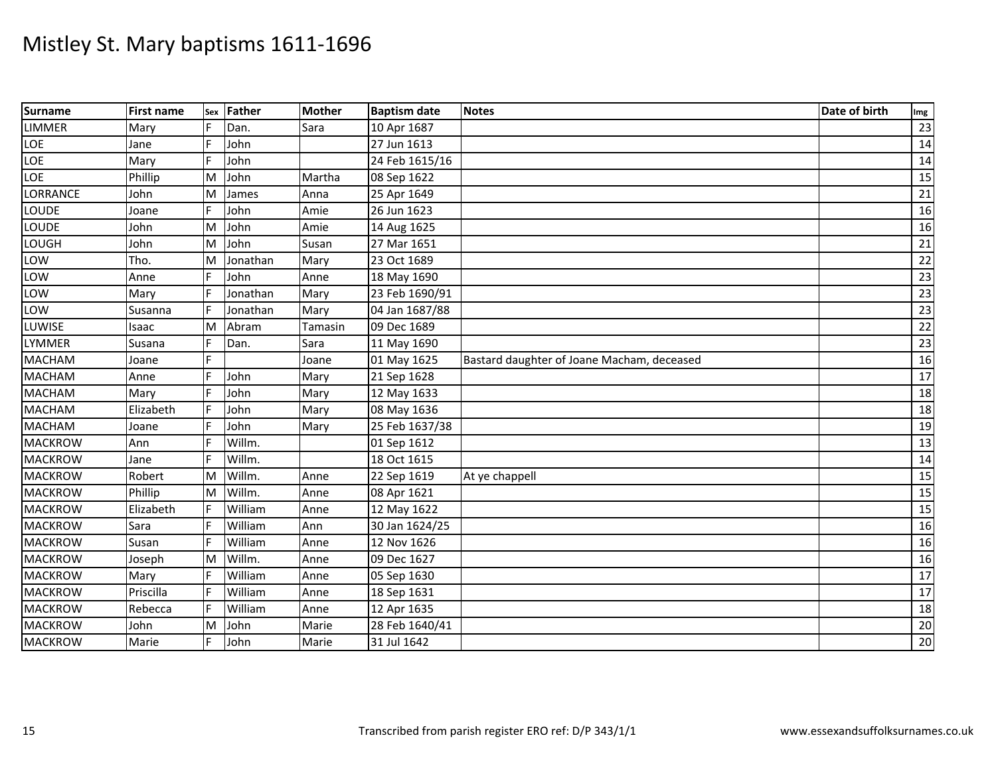| <b>Surname</b>  | <b>First name</b> | Sex | <b>Father</b> | <b>Mother</b> | <b>Baptism date</b> | <b>Notes</b>                               | Date of birth | Img             |
|-----------------|-------------------|-----|---------------|---------------|---------------------|--------------------------------------------|---------------|-----------------|
| <b>LIMMER</b>   | Mary              |     | Dan.          | Sara          | 10 Apr 1687         |                                            |               | 23              |
| LOE             | Jane              |     | John          |               | 27 Jun 1613         |                                            |               | 14              |
| LOE             | Mary              |     | John          |               | 24 Feb 1615/16      |                                            |               | 14              |
| LOE             | Phillip           | M   | John          | Martha        | 08 Sep 1622         |                                            |               | 15              |
| <b>LORRANCE</b> | John              | ΙM  | James         | Anna          | 25 Apr 1649         |                                            |               | 21              |
| LOUDE           | Joane             | F   | John          | Amie          | 26 Jun 1623         |                                            |               | 16              |
| LOUDE           | John              | M   | John          | Amie          | 14 Aug 1625         |                                            |               | 16              |
| LOUGH           | John              | M   | John          | Susan         | 27 Mar 1651         |                                            |               | 21              |
| LOW             | Tho.              | ΙM  | Jonathan      | Mary          | 23 Oct 1689         |                                            |               | 22              |
| LOW             | Anne              |     | John          | Anne          | 18 May 1690         |                                            |               | 23              |
| LOW             | Mary              |     | Jonathan      | Mary          | 23 Feb 1690/91      |                                            |               | 23              |
| LOW             | Susanna           |     | Jonathan      | Mary          | 04 Jan 1687/88      |                                            |               | 23              |
| LUWISE          | <b>Isaac</b>      | M   | Abram         | Tamasin       | 09 Dec 1689         |                                            |               | 22              |
| <b>LYMMER</b>   | Susana            |     | Dan.          | Sara          | 11 May 1690         |                                            |               | 23              |
| <b>MACHAM</b>   | Joane             |     |               | Joane         | 01 May 1625         | Bastard daughter of Joane Macham, deceased |               | 16              |
| <b>MACHAM</b>   | Anne              |     | John          | Mary          | 21 Sep 1628         |                                            |               | 17              |
| <b>MACHAM</b>   | Mary              |     | John          | Mary          | 12 May 1633         |                                            |               | 18              |
| <b>MACHAM</b>   | Elizabeth         |     | John          | Mary          | 08 May 1636         |                                            |               | 18              |
| <b>MACHAM</b>   | Joane             |     | John          | Mary          | 25 Feb 1637/38      |                                            |               | 19              |
| <b>MACKROW</b>  | Ann               |     | Willm.        |               | 01 Sep 1612         |                                            |               | 13              |
| <b>MACKROW</b>  | Jane              |     | Willm.        |               | 18 Oct 1615         |                                            |               | 14              |
| <b>MACKROW</b>  | Robert            | M   | Willm.        | Anne          | 22 Sep 1619         | At ye chappell                             |               | 15              |
| <b>MACKROW</b>  | Phillip           | M   | Willm.        | Anne          | 08 Apr 1621         |                                            |               | 15              |
| <b>MACKROW</b>  | Elizabeth         |     | William       | Anne          | 12 May 1622         |                                            |               | 15              |
| <b>MACKROW</b>  | Sara              |     | William       | Ann           | 30 Jan 1624/25      |                                            |               | 16              |
| <b>MACKROW</b>  | Susan             |     | William       | Anne          | 12 Nov 1626         |                                            |               | 16              |
| <b>MACKROW</b>  | Joseph            | M   | Willm.        | Anne          | 09 Dec 1627         |                                            |               | 16              |
| <b>MACKROW</b>  | Mary              |     | William       | Anne          | 05 Sep 1630         |                                            |               | 17              |
| <b>MACKROW</b>  | Priscilla         |     | William       | Anne          | 18 Sep 1631         |                                            |               | 17              |
| <b>MACKROW</b>  | Rebecca           |     | William       | Anne          | 12 Apr 1635         |                                            |               | 18              |
| <b>MACKROW</b>  | John              | M   | John          | Marie         | 28 Feb 1640/41      |                                            |               | $20\,$          |
| <b>MACKROW</b>  | Marie             | F.  | John          | Marie         | 31 Jul 1642         |                                            |               | $\overline{20}$ |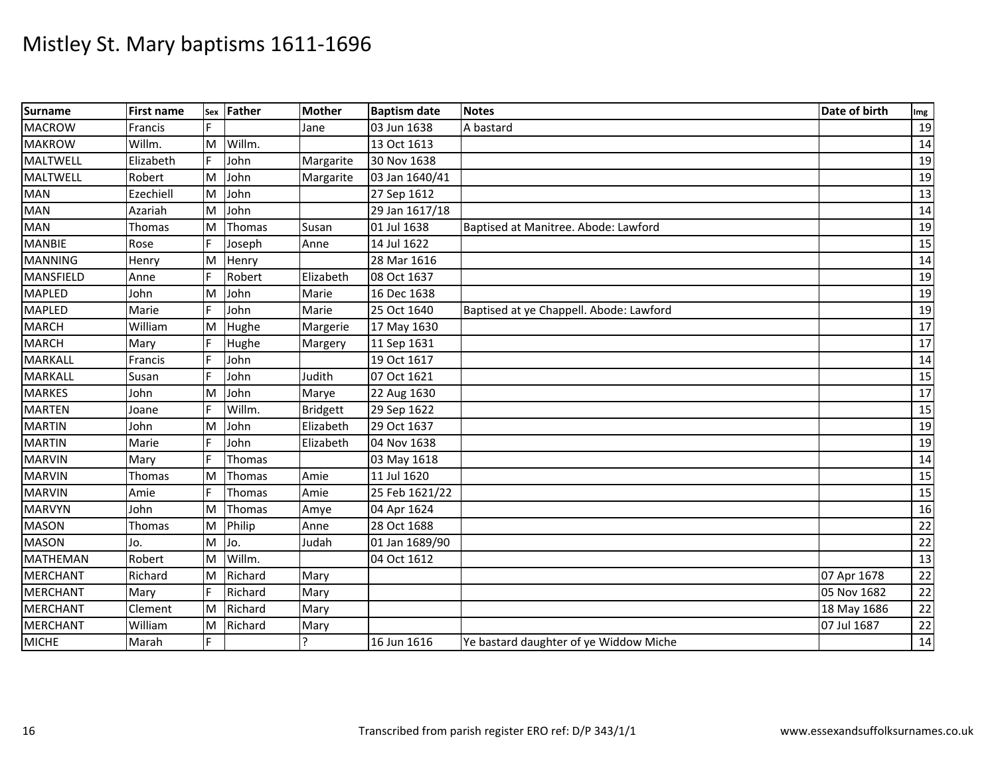| Surname          | <b>First name</b> | Sex | Father  | <b>Mother</b>   | <b>Baptism date</b> | <b>Notes</b>                            | Date of birth | Img |
|------------------|-------------------|-----|---------|-----------------|---------------------|-----------------------------------------|---------------|-----|
| <b>MACROW</b>    | Francis           |     |         | Jane            | 03 Jun 1638         | A bastard                               |               | 19  |
| <b>MAKROW</b>    | Willm.            | M   | Willm.  |                 | 13 Oct 1613         |                                         |               | 14  |
| <b>MALTWELL</b>  | Elizabeth         |     | John    | Margarite       | 30 Nov 1638         |                                         |               | 19  |
| <b>MALTWELL</b>  | Robert            | M   | John    | Margarite       | 03 Jan 1640/41      |                                         |               | 19  |
| <b>MAN</b>       | Ezechiell         | M   | John    |                 | 27 Sep 1612         |                                         |               | 13  |
| <b>MAN</b>       | Azariah           | M   | John    |                 | 29 Jan 1617/18      |                                         |               | 14  |
| <b>MAN</b>       | Thomas            | M   | Thomas  | Susan           | 01 Jul 1638         | Baptised at Manitree. Abode: Lawford    |               | 19  |
| <b>MANBIE</b>    | Rose              |     | Joseph  | Anne            | 14 Jul 1622         |                                         |               | 15  |
| <b>MANNING</b>   | Henry             | M   | Henry   |                 | 28 Mar 1616         |                                         |               | 14  |
| <b>MANSFIELD</b> | Anne              |     | Robert  | Elizabeth       | 08 Oct 1637         |                                         |               | 19  |
| <b>MAPLED</b>    | John              | M   | John    | Marie           | 16 Dec 1638         |                                         |               | 19  |
| <b>MAPLED</b>    | Marie             |     | John    | Marie           | 25 Oct 1640         | Baptised at ye Chappell. Abode: Lawford |               | 19  |
| <b>MARCH</b>     | William           | M   | Hughe   | Margerie        | 17 May 1630         |                                         |               | 17  |
| <b>MARCH</b>     | Mary              |     | Hughe   | Margery         | 11 Sep 1631         |                                         |               | 17  |
| <b>MARKALL</b>   | Francis           |     | John    |                 | 19 Oct 1617         |                                         |               | 14  |
| <b>MARKALL</b>   | Susan             |     | John    | Judith          | 07 Oct 1621         |                                         |               | 15  |
| <b>MARKES</b>    | John              | M   | John    | Marye           | 22 Aug 1630         |                                         |               | 17  |
| <b>MARTEN</b>    | Joane             |     | Willm.  | <b>Bridgett</b> | 29 Sep 1622         |                                         |               | 15  |
| <b>MARTIN</b>    | John              | M   | John    | Elizabeth       | 29 Oct 1637         |                                         |               | 19  |
| <b>MARTIN</b>    | Marie             |     | John    | Elizabeth       | 04 Nov 1638         |                                         |               | 19  |
| <b>MARVIN</b>    | Mary              |     | Thomas  |                 | 03 May 1618         |                                         |               | 14  |
| <b>MARVIN</b>    | Thomas            | M   | Thomas  | Amie            | 11 Jul 1620         |                                         |               | 15  |
| <b>MARVIN</b>    | Amie              |     | Thomas  | Amie            | 25 Feb 1621/22      |                                         |               | 15  |
| <b>MARVYN</b>    | John              | M   | Thomas  | Amye            | 04 Apr 1624         |                                         |               | 16  |
| <b>MASON</b>     | Thomas            | M   | Philip  | Anne            | 28 Oct 1688         |                                         |               | 22  |
| <b>MASON</b>     | Jo.               | M   | Jo.     | Judah           | 01 Jan 1689/90      |                                         |               | 22  |
| <b>MATHEMAN</b>  | Robert            | M   | Willm.  |                 | 04 Oct 1612         |                                         |               | 13  |
| <b>MERCHANT</b>  | Richard           | M   | Richard | Mary            |                     |                                         | 07 Apr 1678   | 22  |
| <b>MERCHANT</b>  | Mary              | E   | Richard | Mary            |                     |                                         | 05 Nov 1682   | 22  |
| <b>MERCHANT</b>  | Clement           | M   | Richard | Mary            |                     |                                         | 18 May 1686   | 22  |
| <b>MERCHANT</b>  | William           | M   | Richard | Mary            |                     |                                         | 07 Jul 1687   | 22  |
| <b>MICHE</b>     | Marah             | F   |         | Ρ               | 16 Jun 1616         | Ye bastard daughter of ye Widdow Miche  |               | 14  |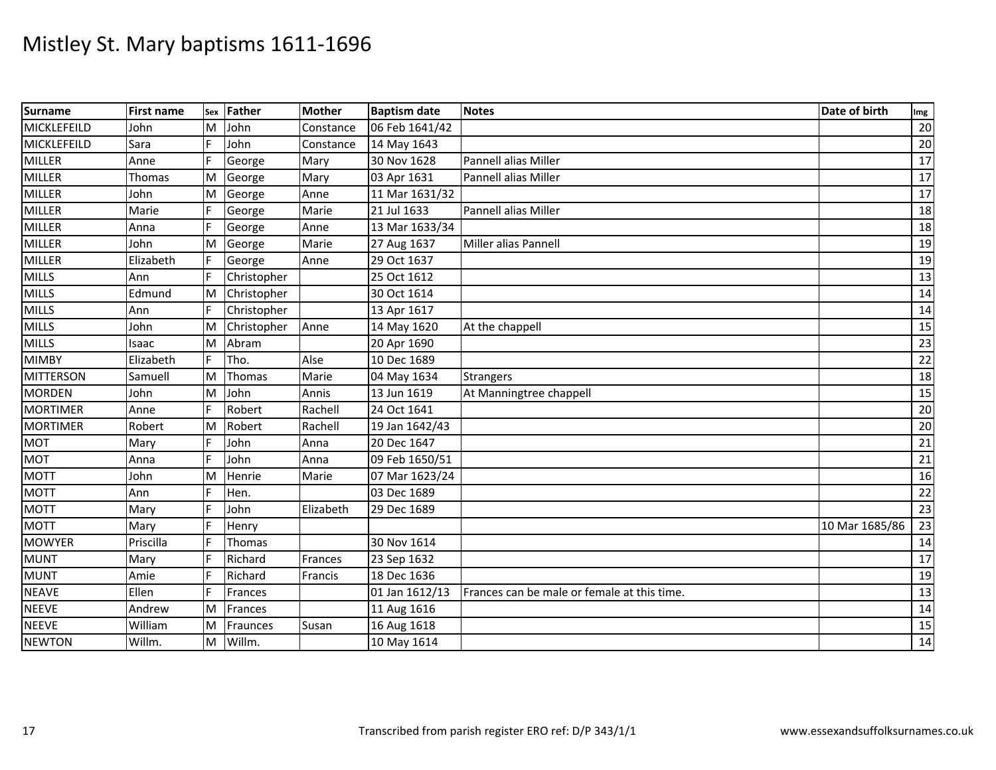| <b>Surname</b>   | <b>First name</b> | Sex | <b>Father</b> | <b>Mother</b> | <b>Baptism date</b> | <b>Notes</b>                                | Date of birth  | Img |
|------------------|-------------------|-----|---------------|---------------|---------------------|---------------------------------------------|----------------|-----|
| MICKLEFEILD      | John              | M   | John          | Constance     | 06 Feb 1641/42      |                                             |                | 20  |
| MICKLEFEILD      | Sara              |     | John          | Constance     | 14 May 1643         |                                             |                | 20  |
| <b>MILLER</b>    | Anne              |     | George        | Mary          | 30 Nov 1628         | Pannell alias Miller                        |                | 17  |
| <b>MILLER</b>    | Thomas            | M   | George        | Mary          | 03 Apr 1631         | Pannell alias Miller                        |                | 17  |
| <b>MILLER</b>    | John              | M   | George        | Anne          | 11 Mar 1631/32      |                                             |                | 17  |
| <b>MILLER</b>    | Marie             |     | George        | Marie         | 21 Jul 1633         | Pannell alias Miller                        |                | 18  |
| <b>MILLER</b>    | Anna              |     | George        | Anne          | 13 Mar 1633/34      |                                             |                | 18  |
| <b>MILLER</b>    | John              | M   | George        | Marie         | 27 Aug 1637         | Miller alias Pannell                        |                | 19  |
| <b>MILLER</b>    | Elizabeth         |     | George        | Anne          | 29 Oct 1637         |                                             |                | 19  |
| <b>MILLS</b>     | Ann               |     | Christopher   |               | 25 Oct 1612         |                                             |                | 13  |
| <b>MILLS</b>     | Edmund            | M   | Christopher   |               | 30 Oct 1614         |                                             |                | 14  |
| <b>MILLS</b>     | Ann               |     | Christopher   |               | 13 Apr 1617         |                                             |                | 14  |
| <b>MILLS</b>     | John              | M   | Christopher   | Anne          | 14 May 1620         | At the chappell                             |                | 15  |
| <b>MILLS</b>     | Isaac             | M   | Abram         |               | 20 Apr 1690         |                                             |                | 23  |
| <b>MIMBY</b>     | Elizabeth         | F   | Tho.          | Alse          | 10 Dec 1689         |                                             |                | 22  |
| <b>MITTERSON</b> | Samuell           | M   | Thomas        | Marie         | 04 May 1634         | <b>Strangers</b>                            |                | 18  |
| <b>MORDEN</b>    | John              | M   | John          | Annis         | 13 Jun 1619         | At Manningtree chappell                     |                | 15  |
| <b>MORTIMER</b>  | Anne              | F   | Robert        | Rachell       | 24 Oct 1641         |                                             |                | 20  |
| <b>MORTIMER</b>  | Robert            | M   | Robert        | Rachell       | 19 Jan 1642/43      |                                             |                | 20  |
| <b>MOT</b>       | Mary              |     | John          | Anna          | 20 Dec 1647         |                                             |                | 21  |
| <b>MOT</b>       | Anna              |     | John          | Anna          | 09 Feb 1650/51      |                                             |                | 21  |
| <b>MOTT</b>      | John              | M   | Henrie        | Marie         | 07 Mar 1623/24      |                                             |                | 16  |
| <b>MOTT</b>      | Ann               |     | Hen.          |               | 03 Dec 1689         |                                             |                | 22  |
| <b>MOTT</b>      | Mary              |     | John          | Elizabeth     | 29 Dec 1689         |                                             |                | 23  |
| <b>MOTT</b>      | Mary              |     | Henry         |               |                     |                                             | 10 Mar 1685/86 | 23  |
| <b>MOWYER</b>    | Priscilla         |     | Thomas        |               | 30 Nov 1614         |                                             |                | 14  |
| <b>MUNT</b>      | Mary              |     | Richard       | Frances       | 23 Sep 1632         |                                             |                | 17  |
| <b>MUNT</b>      | Amie              |     | Richard       | Francis       | 18 Dec 1636         |                                             |                | 19  |
| <b>NEAVE</b>     | Ellen             |     | Frances       |               | 01 Jan 1612/13      | Frances can be male or female at this time. |                | 13  |
| <b>NEEVE</b>     | Andrew            | M   | Frances       |               | 11 Aug 1616         |                                             |                | 14  |
| <b>NEEVE</b>     | William           | M   | Fraunces      | Susan         | 16 Aug 1618         |                                             |                | 15  |
| <b>NEWTON</b>    | Willm.            | M   | Willm.        |               | 10 May 1614         |                                             |                | 14  |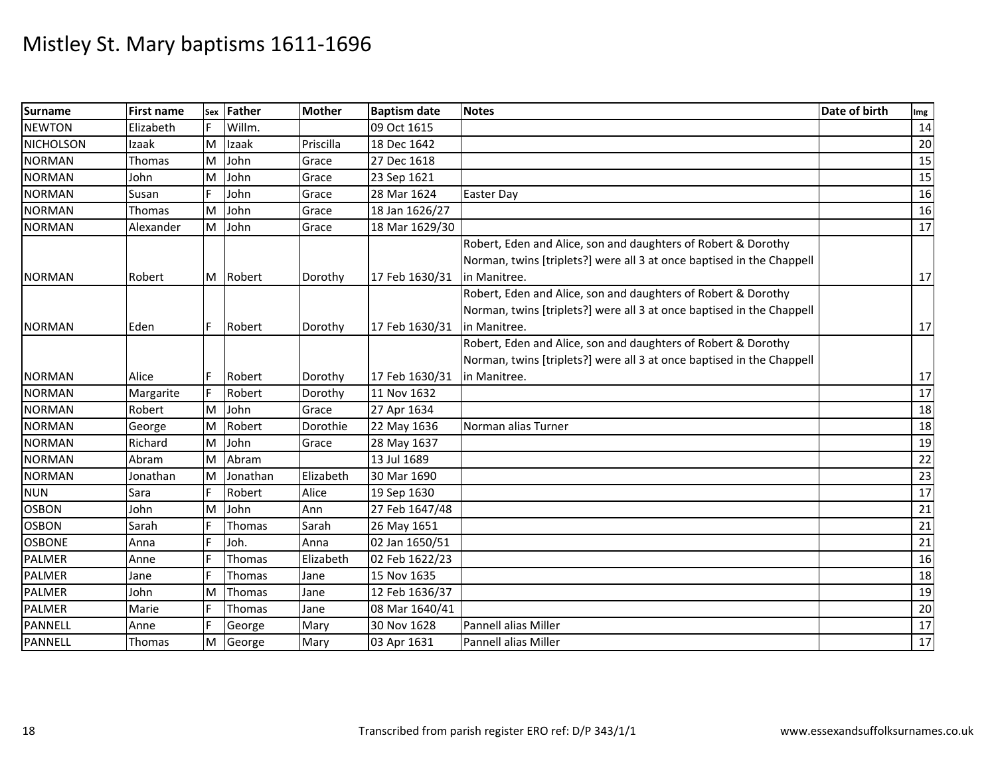| <b>Surname</b>   | <b>First name</b> | Sex | Father        | <b>Mother</b> | <b>Baptism date</b> | <b>Notes</b>                                                                                                                           | Date of birth | Img |
|------------------|-------------------|-----|---------------|---------------|---------------------|----------------------------------------------------------------------------------------------------------------------------------------|---------------|-----|
| <b>NEWTON</b>    | Elizabeth         | F.  | Willm.        |               | 09 Oct 1615         |                                                                                                                                        |               | 14  |
| <b>NICHOLSON</b> | Izaak             | M   | Izaak         | Priscilla     | 18 Dec 1642         |                                                                                                                                        |               | 20  |
| <b>NORMAN</b>    | Thomas            | ΙM  | John          | Grace         | 27 Dec 1618         |                                                                                                                                        |               | 15  |
| <b>NORMAN</b>    | John              | M   | John          | Grace         | 23 Sep 1621         |                                                                                                                                        |               | 15  |
| <b>NORMAN</b>    | Susan             | F   | John          | Grace         | 28 Mar 1624         | <b>Easter Day</b>                                                                                                                      |               | 16  |
| <b>NORMAN</b>    | Thomas            | M   | John          | Grace         | 18 Jan 1626/27      |                                                                                                                                        |               | 16  |
| <b>NORMAN</b>    | Alexander         | M   | John          | Grace         | 18 Mar 1629/30      |                                                                                                                                        |               | 17  |
|                  |                   |     |               |               |                     | Robert, Eden and Alice, son and daughters of Robert & Dorothy<br>Norman, twins [triplets?] were all 3 at once baptised in the Chappell |               |     |
| <b>NORMAN</b>    | Robert            |     | M Robert      | Dorothy       | 17 Feb 1630/31      | in Manitree.                                                                                                                           |               | 17  |
|                  |                   |     |               |               |                     | Robert, Eden and Alice, son and daughters of Robert & Dorothy<br>Norman, twins [triplets?] were all 3 at once baptised in the Chappell |               |     |
| <b>NORMAN</b>    | Eden              | F   | Robert        | Dorothy       | 17 Feb 1630/31      | lin Manitree.                                                                                                                          |               | 17  |
|                  |                   |     |               |               |                     | Robert, Eden and Alice, son and daughters of Robert & Dorothy<br>Norman, twins [triplets?] were all 3 at once baptised in the Chappell |               |     |
| <b>NORMAN</b>    | Alice             | F   | Robert        | Dorothy       | 17 Feb 1630/31      | in Manitree.                                                                                                                           |               | 17  |
| <b>NORMAN</b>    | Margarite         |     | Robert        | Dorothy       | 11 Nov 1632         |                                                                                                                                        |               | 17  |
| <b>NORMAN</b>    | Robert            | ΙM  | John          | Grace         | 27 Apr 1634         |                                                                                                                                        |               | 18  |
| <b>NORMAN</b>    | George            | M   | Robert        | Dorothie      | 22 May 1636         | Norman alias Turner                                                                                                                    |               | 18  |
| <b>NORMAN</b>    | Richard           | M   | John          | Grace         | 28 May 1637         |                                                                                                                                        |               | 19  |
| <b>NORMAN</b>    | Abram             | M   | Abram         |               | 13 Jul 1689         |                                                                                                                                        |               | 22  |
| <b>NORMAN</b>    | Jonathan          | M   | Jonathan      | Elizabeth     | 30 Mar 1690         |                                                                                                                                        |               | 23  |
| <b>NUN</b>       | Sara              | F   | Robert        | Alice         | 19 Sep 1630         |                                                                                                                                        |               | 17  |
| <b>OSBON</b>     | John              | M   | John          | Ann           | 27 Feb 1647/48      |                                                                                                                                        |               | 21  |
| <b>OSBON</b>     | Sarah             |     | Thomas        | Sarah         | 26 May 1651         |                                                                                                                                        |               | 21  |
| <b>OSBONE</b>    | Anna              |     | Joh.          | Anna          | 02 Jan 1650/51      |                                                                                                                                        |               | 21  |
| <b>PALMER</b>    | Anne              |     | Thomas        | Elizabeth     | 02 Feb 1622/23      |                                                                                                                                        |               | 16  |
| <b>PALMER</b>    | Jane              | F   | Thomas        | Jane          | 15 Nov 1635         |                                                                                                                                        |               | 18  |
| <b>PALMER</b>    | John              | M   | <b>Thomas</b> | Jane          | 12 Feb 1636/37      |                                                                                                                                        |               | 19  |
| <b>PALMER</b>    | Marie             | F   | Thomas        | Jane          | 08 Mar 1640/41      |                                                                                                                                        |               | 20  |
| PANNELL          | Anne              | F   | George        | Mary          | 30 Nov 1628         | Pannell alias Miller                                                                                                                   |               | 17  |
| PANNELL          | Thomas            | ΙM  | George        | Mary          | 03 Apr 1631         | Pannell alias Miller                                                                                                                   |               | 17  |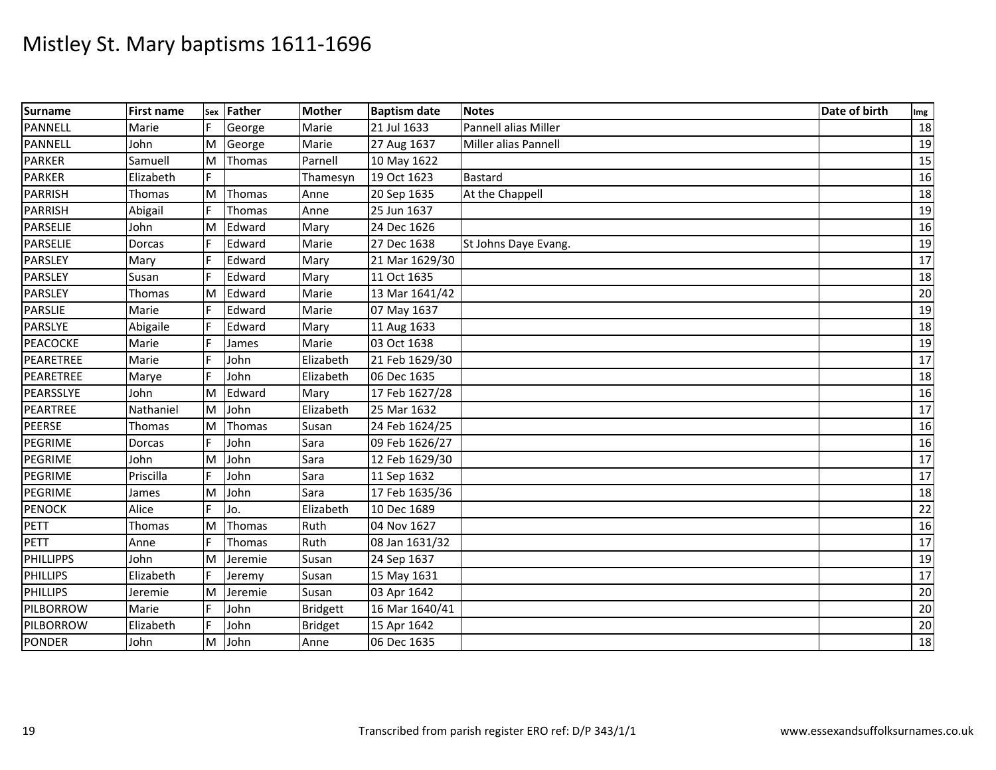| <b>Surname</b>   | <b>First name</b> | Sex | <b>Father</b> | <b>Mother</b>   | <b>Baptism date</b> | <b>Notes</b>         | Date of birth | Img             |
|------------------|-------------------|-----|---------------|-----------------|---------------------|----------------------|---------------|-----------------|
| <b>PANNELL</b>   | Marie             |     | George        | Marie           | 21 Jul 1633         | Pannell alias Miller |               | 18              |
| <b>PANNELL</b>   | John              | M   | George        | Marie           | 27 Aug 1637         | Miller alias Pannell |               | 19              |
| <b>PARKER</b>    | Samuell           | M   | <b>Thomas</b> | Parnell         | 10 May 1622         |                      |               | 15              |
| <b>PARKER</b>    | Elizabeth         |     |               | Thamesyn        | 19 Oct 1623         | <b>Bastard</b>       |               | 16              |
| <b>PARRISH</b>   | Thomas            | M   | Thomas        | Anne            | 20 Sep 1635         | At the Chappell      |               | 18              |
| <b>PARRISH</b>   | Abigail           | F   | Thomas        | Anne            | 25 Jun 1637         |                      |               | 19              |
| <b>PARSELIE</b>  | John              | M   | Edward        | Mary            | 24 Dec 1626         |                      |               | 16              |
| <b>PARSELIE</b>  | Dorcas            |     | Edward        | Marie           | 27 Dec 1638         | St Johns Daye Evang. |               | 19              |
| <b>PARSLEY</b>   | Mary              |     | Edward        | Mary            | 21 Mar 1629/30      |                      |               | 17              |
| PARSLEY          | Susan             |     | Edward        | Mary            | 11 Oct 1635         |                      |               | 18              |
| PARSLEY          | Thomas            | M   | Edward        | Marie           | 13 Mar 1641/42      |                      |               | 20              |
| <b>PARSLIE</b>   | Marie             |     | Edward        | Marie           | 07 May 1637         |                      |               | 19              |
| PARSLYE          | Abigaile          |     | Edward        | Mary            | 11 Aug 1633         |                      |               | 18              |
| <b>PEACOCKE</b>  | Marie             |     | James         | Marie           | 03 Oct 1638         |                      |               | 19              |
| PEARETREE        | Marie             |     | John          | Elizabeth       | 21 Feb 1629/30      |                      |               | 17              |
| PEARETREE        | Marye             |     | John          | Elizabeth       | 06 Dec 1635         |                      |               | 18              |
| PEARSSLYE        | John              | M   | Edward        | Mary            | 17 Feb 1627/28      |                      |               | 16              |
| PEARTREE         | Nathaniel         | M   | John          | Elizabeth       | 25 Mar 1632         |                      |               | $\overline{17}$ |
| <b>PEERSE</b>    | Thomas            | M   | Thomas        | Susan           | 24 Feb 1624/25      |                      |               | 16              |
| PEGRIME          | Dorcas            |     | John          | Sara            | 09 Feb 1626/27      |                      |               | 16              |
| PEGRIME          | John              | M   | John          | Sara            | 12 Feb 1629/30      |                      |               | 17              |
| PEGRIME          | Priscilla         | F   | John          | Sara            | 11 Sep 1632         |                      |               | 17              |
| PEGRIME          | James             | M   | John          | Sara            | 17 Feb 1635/36      |                      |               | 18              |
| <b>PENOCK</b>    | Alice             |     | Jo.           | Elizabeth       | 10 Dec 1689         |                      |               | 22              |
| <b>PETT</b>      | Thomas            | M   | <b>Thomas</b> | Ruth            | 04 Nov 1627         |                      |               | 16              |
| <b>PETT</b>      | Anne              |     | Thomas        | Ruth            | 08 Jan 1631/32      |                      |               | 17              |
| <b>PHILLIPPS</b> | John              | M   | Jeremie       | Susan           | 24 Sep 1637         |                      |               | 19              |
| <b>PHILLIPS</b>  | Elizabeth         | IF. | Jeremy        | Susan           | 15 May 1631         |                      |               | 17              |
| <b>PHILLIPS</b>  | Jeremie           | M   | Jeremie       | Susan           | 03 Apr 1642         |                      |               | 20              |
| PILBORROW        | Marie             |     | John          | <b>Bridgett</b> | 16 Mar 1640/41      |                      |               | 20              |
| PILBORROW        | Elizabeth         | F   | John          | <b>Bridget</b>  | 15 Apr 1642         |                      |               | 20              |
| <b>PONDER</b>    | John              | M   | John          | Anne            | 06 Dec 1635         |                      |               | $\overline{18}$ |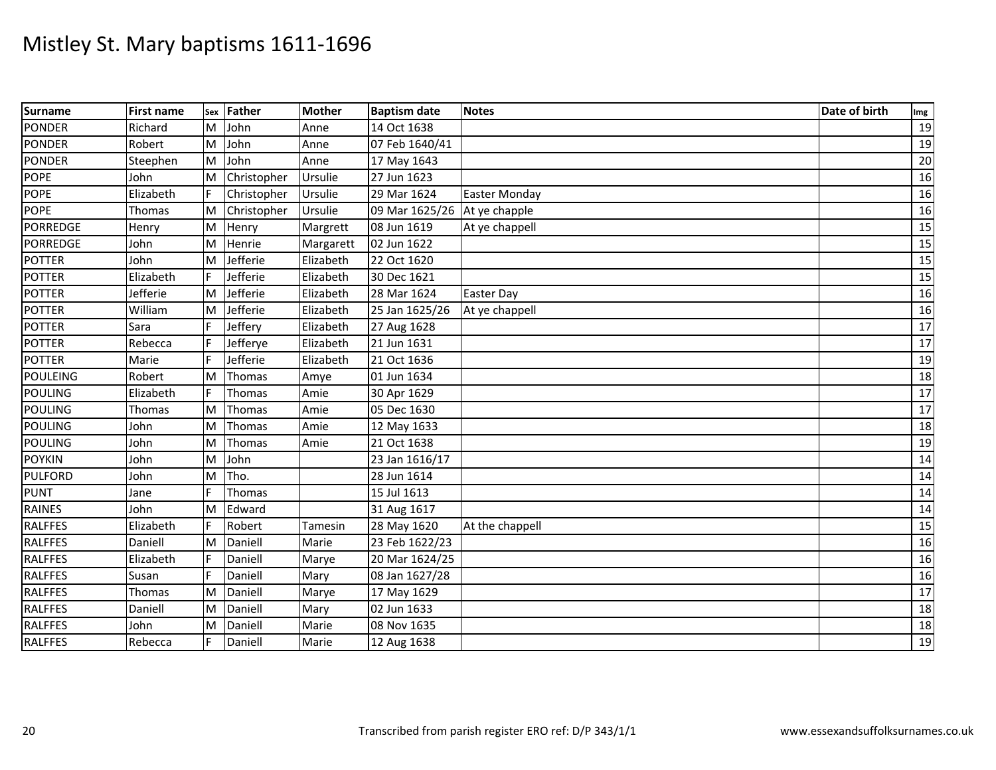| <b>Surname</b>  | <b>First name</b> | Sex | Father        | <b>Mother</b> | <b>Baptism date</b>          | <b>Notes</b>         | Date of birth | Img |
|-----------------|-------------------|-----|---------------|---------------|------------------------------|----------------------|---------------|-----|
| <b>PONDER</b>   | Richard           | M   | John          | Anne          | 14 Oct 1638                  |                      |               | 19  |
| <b>PONDER</b>   | Robert            | Iм  | John          | Anne          | 07 Feb 1640/41               |                      |               | 19  |
| <b>PONDER</b>   | Steephen          | M   | John          | Anne          | 17 May 1643                  |                      |               | 20  |
| <b>POPE</b>     | John              | M   | Christopher   | Ursulie       | 27 Jun 1623                  |                      |               | 16  |
| <b>POPE</b>     | Elizabeth         |     | Christopher   | Ursulie       | 29 Mar 1624                  | <b>Easter Monday</b> |               | 16  |
| <b>POPE</b>     | Thomas            | Iм  | Christopher   | Ursulie       | 09 Mar 1625/26 At ye chapple |                      |               | 16  |
| <b>PORREDGE</b> | Henry             | M   | Henry         | Margrett      | 08 Jun 1619                  | At ye chappell       |               | 15  |
| <b>PORREDGE</b> | John              | M   | Henrie        | Margarett     | 02 Jun 1622                  |                      |               | 15  |
| <b>POTTER</b>   | John              | M   | Jefferie      | Elizabeth     | 22 Oct 1620                  |                      |               | 15  |
| <b>POTTER</b>   | Elizabeth         |     | Jefferie      | Elizabeth     | 30 Dec 1621                  |                      |               | 15  |
| <b>POTTER</b>   | Jefferie          | M   | Jefferie      | Elizabeth     | 28 Mar 1624                  | Easter Day           |               | 16  |
| <b>POTTER</b>   | William           | M   | Jefferie      | Elizabeth     | 25 Jan 1625/26               | At ye chappell       |               | 16  |
| <b>POTTER</b>   | Sara              |     | Jeffery       | Elizabeth     | 27 Aug 1628                  |                      |               | 17  |
| <b>POTTER</b>   | Rebecca           |     | Jefferye      | Elizabeth     | 21 Jun 1631                  |                      |               | 17  |
| <b>POTTER</b>   | Marie             |     | Jefferie      | Elizabeth     | 21 Oct 1636                  |                      |               | 19  |
| <b>POULEING</b> | Robert            | M   | Thomas        | Amye          | 01 Jun 1634                  |                      |               | 18  |
| <b>POULING</b>  | Elizabeth         |     | <b>Thomas</b> | Amie          | 30 Apr 1629                  |                      |               | 17  |
| <b>POULING</b>  | Thomas            | M   | Thomas        | Amie          | 05 Dec 1630                  |                      |               | 17  |
| <b>POULING</b>  | John              | M   | <b>Thomas</b> | Amie          | 12 May 1633                  |                      |               | 18  |
| <b>POULING</b>  | John              | M   | <b>Thomas</b> | Amie          | 21 Oct 1638                  |                      |               | 19  |
| <b>POYKIN</b>   | John              | M   | John          |               | 23 Jan 1616/17               |                      |               | 14  |
| <b>PULFORD</b>  | John              | M   | Tho.          |               | 28 Jun 1614                  |                      |               | 14  |
| <b>PUNT</b>     | Jane              |     | <b>Thomas</b> |               | 15 Jul 1613                  |                      |               | 14  |
| <b>RAINES</b>   | John              | M   | Edward        |               | 31 Aug 1617                  |                      |               | 14  |
| <b>RALFFES</b>  | Elizabeth         |     | Robert        | Tamesin       | 28 May 1620                  | At the chappell      |               | 15  |
| <b>RALFFES</b>  | Daniell           | M   | Daniell       | Marie         | 23 Feb 1622/23               |                      |               | 16  |
| <b>RALFFES</b>  | Elizabeth         |     | Daniell       | Marye         | 20 Mar 1624/25               |                      |               | 16  |
| <b>RALFFES</b>  | Susan             |     | Daniell       | Mary          | 08 Jan 1627/28               |                      |               | 16  |
| <b>RALFFES</b>  | Thomas            | M   | Daniell       | Marye         | 17 May 1629                  |                      |               | 17  |
| <b>RALFFES</b>  | Daniell           | M   | Daniell       | Mary          | 02 Jun 1633                  |                      |               | 18  |
| <b>RALFFES</b>  | John              | M   | Daniell       | Marie         | 08 Nov 1635                  |                      |               | 18  |
| <b>RALFFES</b>  | Rebecca           |     | Daniell       | Marie         | 12 Aug 1638                  |                      |               | 19  |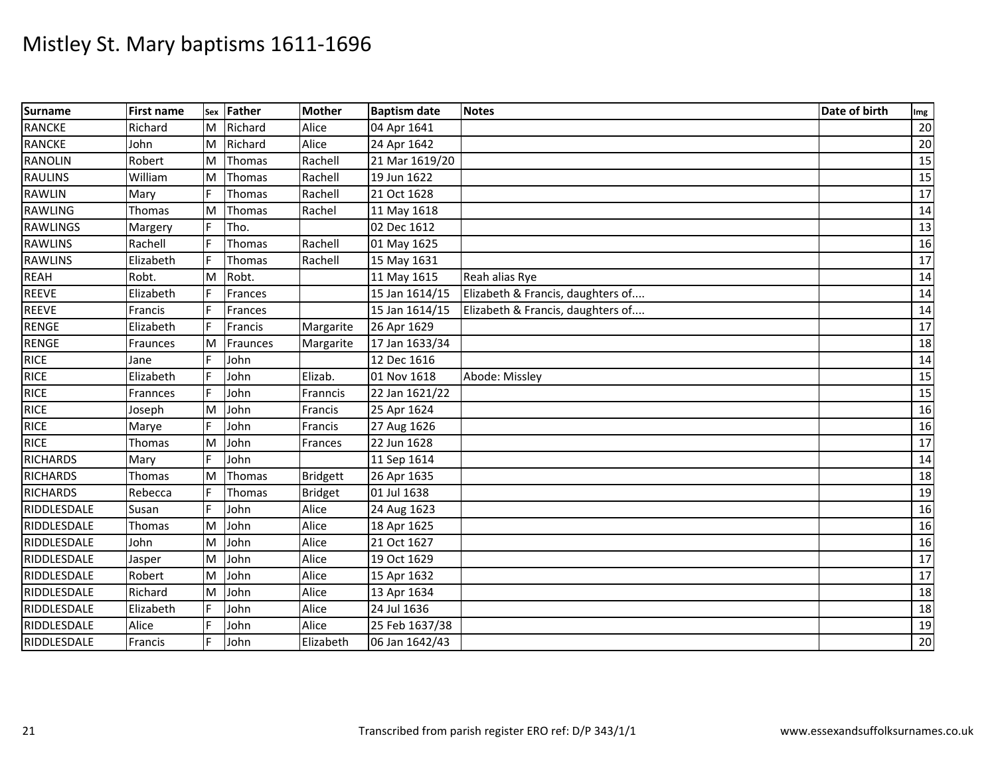| <b>Surname</b>  | <b>First name</b> |     | sex Father    | <b>Mother</b>   | <b>Baptism date</b> | <b>Notes</b>                      | Date of birth | Img             |
|-----------------|-------------------|-----|---------------|-----------------|---------------------|-----------------------------------|---------------|-----------------|
| <b>RANCKE</b>   | Richard           | M   | Richard       | Alice           | 04 Apr 1641         |                                   |               | 20              |
| <b>RANCKE</b>   | John              | Iм  | Richard       | Alice           | 24 Apr 1642         |                                   |               | 20              |
| <b>RANOLIN</b>  | Robert            | M   | <b>Thomas</b> | Rachell         | 21 Mar 1619/20      |                                   |               | 15              |
| <b>RAULINS</b>  | William           | M   | Thomas        | Rachell         | 19 Jun 1622         |                                   |               | 15              |
| <b>RAWLIN</b>   | Mary              | l F | <b>Thomas</b> | Rachell         | 21 Oct 1628         |                                   |               | 17              |
| <b>RAWLING</b>  | Thomas            | M   | <b>Thomas</b> | Rachel          | 11 May 1618         |                                   |               | 14              |
| <b>RAWLINGS</b> | Margery           |     | Tho.          |                 | 02 Dec 1612         |                                   |               | 13              |
| <b>RAWLINS</b>  | Rachell           |     | Thomas        | Rachell         | 01 May 1625         |                                   |               | 16              |
| <b>RAWLINS</b>  | Elizabeth         |     | <b>Thomas</b> | Rachell         | 15 May 1631         |                                   |               | 17              |
| <b>REAH</b>     | Robt.             | M   | Robt.         |                 | 11 May 1615         | Reah alias Rye                    |               | 14              |
| <b>REEVE</b>    | Elizabeth         |     | Frances       |                 | 15 Jan 1614/15      | Elizabeth & Francis, daughters of |               | 14              |
| <b>REEVE</b>    | Francis           |     | Frances       |                 | 15 Jan 1614/15      | Elizabeth & Francis, daughters of |               | 14              |
| <b>RENGE</b>    | Elizabeth         |     | Francis       | Margarite       | 26 Apr 1629         |                                   |               | $\overline{17}$ |
| <b>RENGE</b>    | Fraunces          | M   | Fraunces      | Margarite       | 17 Jan 1633/34      |                                   |               | 18              |
| <b>RICE</b>     | Jane              |     | John          |                 | 12 Dec 1616         |                                   |               | 14              |
| <b>RICE</b>     | Elizabeth         |     | John          | Elizab.         | 01 Nov 1618         | Abode: Missley                    |               | $\overline{15}$ |
| <b>RICE</b>     | Frannces          |     | John          | Franncis        | 22 Jan 1621/22      |                                   |               | $\overline{15}$ |
| <b>RICE</b>     | Joseph            | M   | John          | Francis         | 25 Apr 1624         |                                   |               | 16              |
| <b>RICE</b>     | Marye             |     | John          | Francis         | 27 Aug 1626         |                                   |               | 16              |
| <b>RICE</b>     | Thomas            | M   | John          | Frances         | 22 Jun 1628         |                                   |               | 17              |
| <b>RICHARDS</b> | Mary              |     | John          |                 | 11 Sep 1614         |                                   |               | 14              |
| <b>RICHARDS</b> | Thomas            | M   | Thomas        | <b>Bridgett</b> | 26 Apr 1635         |                                   |               | 18              |
| <b>RICHARDS</b> | Rebecca           |     | <b>Thomas</b> | <b>Bridget</b>  | 01 Jul 1638         |                                   |               | 19              |
| RIDDLESDALE     | Susan             |     | John          | Alice           | 24 Aug 1623         |                                   |               | 16              |
| RIDDLESDALE     | Thomas            | M   | John          | Alice           | 18 Apr 1625         |                                   |               | 16              |
| RIDDLESDALE     | John              | M   | John          | Alice           | 21 Oct 1627         |                                   |               | 16              |
| RIDDLESDALE     | Jasper            | M   | John          | Alice           | 19 Oct 1629         |                                   |               | 17              |
| RIDDLESDALE     | Robert            | M   | John          | Alice           | 15 Apr 1632         |                                   |               | 17              |
| RIDDLESDALE     | Richard           | M   | John          | Alice           | 13 Apr 1634         |                                   |               | 18              |
| RIDDLESDALE     | Elizabeth         |     | John          | Alice           | 24 Jul 1636         |                                   |               | 18              |
| RIDDLESDALE     | Alice             |     | John          | Alice           | 25 Feb 1637/38      |                                   |               | 19              |
| RIDDLESDALE     | Francis           |     | John          | Elizabeth       | 06 Jan 1642/43      |                                   |               | $\overline{20}$ |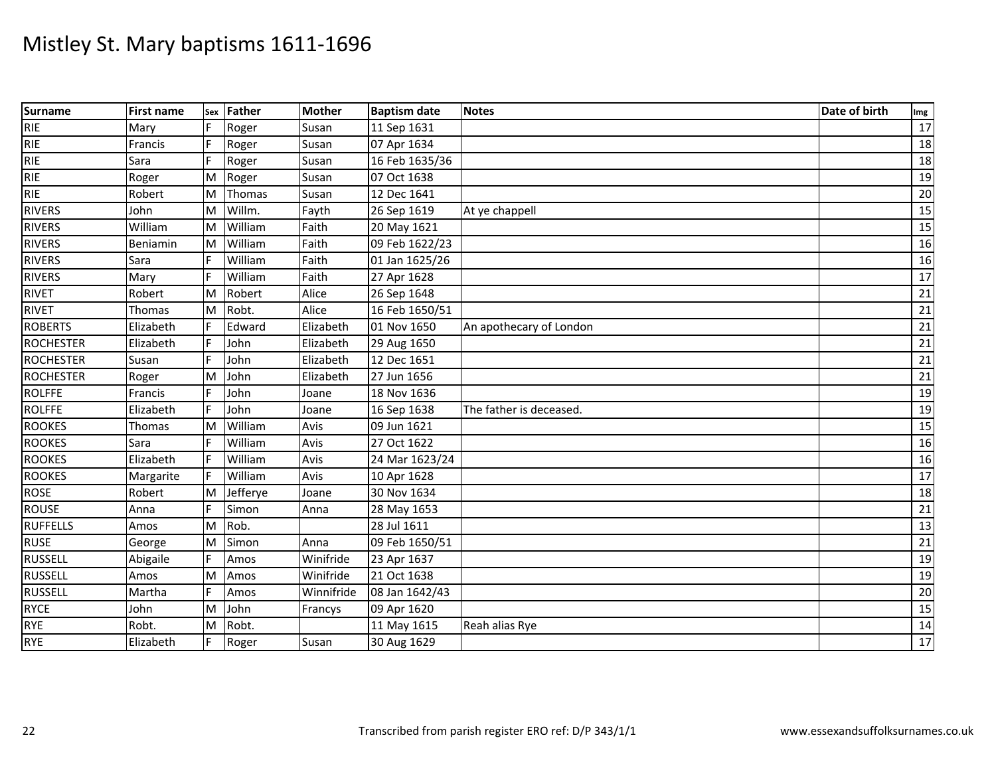| <b>Surname</b>   | <b>First name</b> | Sex | <b>Father</b> | <b>Mother</b> | <b>Baptism date</b> | <b>Notes</b>            | Date of birth | Img |
|------------------|-------------------|-----|---------------|---------------|---------------------|-------------------------|---------------|-----|
| <b>RIE</b>       | Mary              | F   | Roger         | Susan         | 11 Sep 1631         |                         |               | 17  |
| <b>RIE</b>       | Francis           | F   | Roger         | Susan         | 07 Apr 1634         |                         |               | 18  |
| <b>RIE</b>       | Sara              |     | Roger         | Susan         | 16 Feb 1635/36      |                         |               | 18  |
| <b>RIE</b>       | Roger             | M   | Roger         | Susan         | 07 Oct 1638         |                         |               | 19  |
| <b>RIE</b>       | Robert            | M   | Thomas        | Susan         | 12 Dec 1641         |                         |               | 20  |
| <b>RIVERS</b>    | John              | M   | Willm.        | Fayth         | 26 Sep 1619         | At ye chappell          |               | 15  |
| <b>RIVERS</b>    | William           | ΙM  | William       | Faith         | 20 May 1621         |                         |               | 15  |
| <b>RIVERS</b>    | Beniamin          | M   | William       | Faith         | 09 Feb 1622/23      |                         |               | 16  |
| <b>RIVERS</b>    | Sara              |     | William       | Faith         | 01 Jan 1625/26      |                         |               | 16  |
| <b>RIVERS</b>    | Mary              |     | William       | Faith         | 27 Apr 1628         |                         |               | 17  |
| <b>RIVET</b>     | Robert            | M   | Robert        | Alice         | 26 Sep 1648         |                         |               | 21  |
| <b>RIVET</b>     | Thomas            | M   | Robt.         | Alice         | 16 Feb 1650/51      |                         |               | 21  |
| <b>ROBERTS</b>   | Elizabeth         | F.  | Edward        | Elizabeth     | 01 Nov 1650         | An apothecary of London |               | 21  |
| <b>ROCHESTER</b> | Elizabeth         | F   | John          | Elizabeth     | 29 Aug 1650         |                         |               | 21  |
| <b>ROCHESTER</b> | Susan             |     | John          | Elizabeth     | 12 Dec 1651         |                         |               | 21  |
| <b>ROCHESTER</b> | Roger             | M   | John          | Elizabeth     | 27 Jun 1656         |                         |               | 21  |
| <b>ROLFFE</b>    | Francis           |     | John          | Joane         | 18 Nov 1636         |                         |               | 19  |
| <b>ROLFFE</b>    | Elizabeth         |     | John          | Joane         | 16 Sep 1638         | The father is deceased. |               | 19  |
| <b>ROOKES</b>    | Thomas            | M   | William       | Avis          | 09 Jun 1621         |                         |               | 15  |
| <b>ROOKES</b>    | Sara              |     | William       | Avis          | 27 Oct 1622         |                         |               | 16  |
| <b>ROOKES</b>    | Elizabeth         |     | William       | Avis          | 24 Mar 1623/24      |                         |               | 16  |
| <b>ROOKES</b>    | Margarite         |     | William       | Avis          | 10 Apr 1628         |                         |               | 17  |
| <b>ROSE</b>      | Robert            | M   | Jefferye      | Joane         | 30 Nov 1634         |                         |               | 18  |
| <b>ROUSE</b>     | Anna              |     | Simon         | Anna          | 28 May 1653         |                         |               | 21  |
| <b>RUFFELLS</b>  | Amos              | M   | Rob.          |               | 28 Jul 1611         |                         |               | 13  |
| <b>RUSE</b>      | George            | M   | Simon         | Anna          | 09 Feb 1650/51      |                         |               | 21  |
| <b>RUSSELL</b>   | Abigaile          | F   | Amos          | Winifride     | 23 Apr 1637         |                         |               | 19  |
| <b>RUSSELL</b>   | Amos              | ΙM  | Amos          | Winifride     | 21 Oct 1638         |                         |               | 19  |
| <b>RUSSELL</b>   | Martha            | F   | Amos          | Winnifride    | 08 Jan 1642/43      |                         |               | 20  |
| <b>RYCE</b>      | John              | M   | John          | Francys       | 09 Apr 1620         |                         |               | 15  |
| <b>RYE</b>       | Robt.             | M   | Robt.         |               | 11 May 1615         | Reah alias Rye          |               | 14  |
| <b>RYE</b>       | Elizabeth         |     | Roger         | Susan         | 30 Aug 1629         |                         |               | 17  |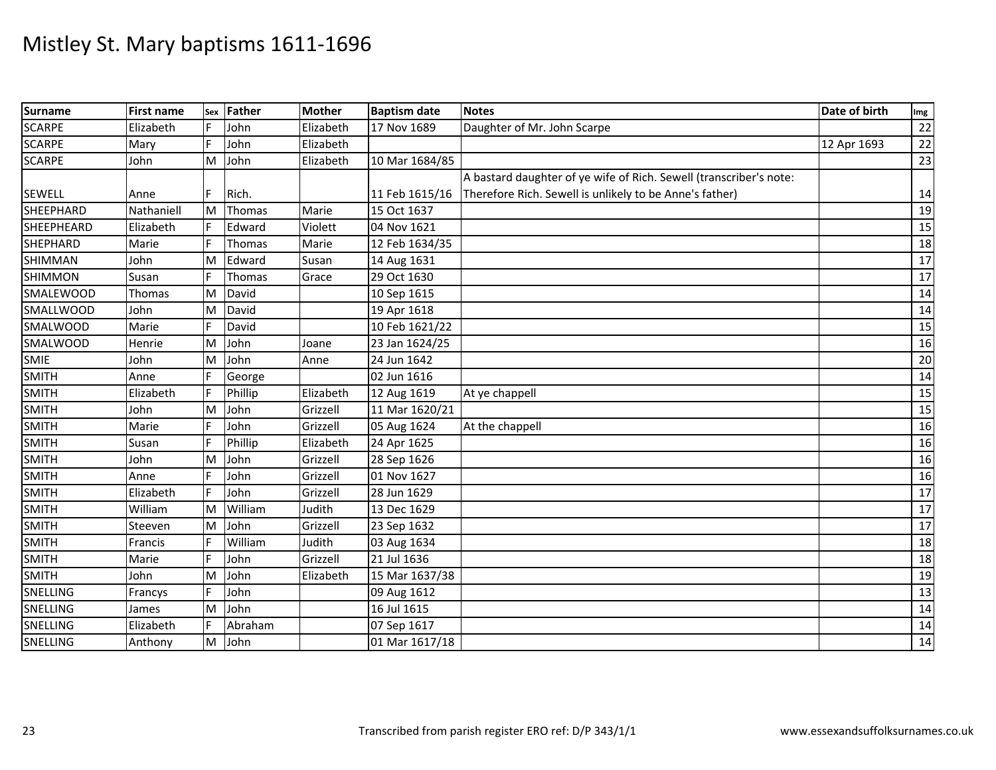| <b>Surname</b>    | <b>First name</b> | Sex | Father  | <b>Mother</b> | <b>Baptism date</b> | <b>Notes</b>                                                       | Date of birth | Img |
|-------------------|-------------------|-----|---------|---------------|---------------------|--------------------------------------------------------------------|---------------|-----|
| <b>SCARPE</b>     | Elizabeth         |     | John    | Elizabeth     | 17 Nov 1689         | Daughter of Mr. John Scarpe                                        |               | 22  |
| <b>SCARPE</b>     | Mary              | F   | John    | Elizabeth     |                     |                                                                    | 12 Apr 1693   | 22  |
| <b>SCARPE</b>     | John              | M   | John    | Elizabeth     | 10 Mar 1684/85      |                                                                    |               | 23  |
|                   |                   |     |         |               |                     | A bastard daughter of ye wife of Rich. Sewell (transcriber's note: |               |     |
| <b>SEWELL</b>     | Anne              | F   | Rich.   |               | 11 Feb 1615/16      | Therefore Rich. Sewell is unlikely to be Anne's father)            |               | 14  |
| <b>SHEEPHARD</b>  | Nathaniell        | Iм  | Thomas  | Marie         | 15 Oct 1637         |                                                                    |               | 19  |
| <b>SHEEPHEARD</b> | Elizabeth         |     | Edward  | Violett       | 04 Nov 1621         |                                                                    |               | 15  |
| <b>SHEPHARD</b>   | Marie             |     | Thomas  | Marie         | 12 Feb 1634/35      |                                                                    |               | 18  |
| <b>SHIMMAN</b>    | John              | M   | Edward  | Susan         | 14 Aug 1631         |                                                                    |               | 17  |
| <b>SHIMMON</b>    | Susan             | F   | Thomas  | Grace         | 29 Oct 1630         |                                                                    |               | 17  |
| <b>SMALEWOOD</b>  | Thomas            | ΙM  | David   |               | 10 Sep 1615         |                                                                    |               | 14  |
| <b>SMALLWOOD</b>  | John              | M   | David   |               | 19 Apr 1618         |                                                                    |               | 14  |
| <b>SMALWOOD</b>   | Marie             | F   | David   |               | 10 Feb 1621/22      |                                                                    |               | 15  |
| <b>SMALWOOD</b>   | Henrie            | M   | John    | Joane         | 23 Jan 1624/25      |                                                                    |               | 16  |
| <b>SMIE</b>       | John              | M   | John    | Anne          | 24 Jun 1642         |                                                                    |               | 20  |
| <b>SMITH</b>      | Anne              |     | George  |               | 02 Jun 1616         |                                                                    |               | 14  |
| <b>SMITH</b>      | Elizabeth         | F   | Phillip | Elizabeth     | 12 Aug 1619         | At ye chappell                                                     |               | 15  |
| <b>SMITH</b>      | John              | M   | John    | Grizzell      | 11 Mar 1620/21      |                                                                    |               | 15  |
| <b>SMITH</b>      | Marie             | F   | John    | Grizzell      | 05 Aug 1624         | At the chappell                                                    |               | 16  |
| <b>SMITH</b>      | Susan             |     | Phillip | Elizabeth     | 24 Apr 1625         |                                                                    |               | 16  |
| <b>SMITH</b>      | John              | M   | John    | Grizzell      | 28 Sep 1626         |                                                                    |               | 16  |
| <b>SMITH</b>      | Anne              |     | John    | Grizzell      | 01 Nov 1627         |                                                                    |               | 16  |
| <b>SMITH</b>      | Elizabeth         | F   | John    | Grizzell      | 28 Jun 1629         |                                                                    |               | 17  |
| SMITH             | William           | M   | William | Judith        | 13 Dec 1629         |                                                                    |               | 17  |
| <b>SMITH</b>      | Steeven           | M   | John    | Grizzell      | 23 Sep 1632         |                                                                    |               | 17  |
| <b>SMITH</b>      | Francis           |     | William | Judith        | 03 Aug 1634         |                                                                    |               | 18  |
| <b>SMITH</b>      | Marie             | F   | John    | Grizzell      | 21 Jul 1636         |                                                                    |               | 18  |
| <b>SMITH</b>      | John              | M   | John    | Elizabeth     | 15 Mar 1637/38      |                                                                    |               | 19  |
| SNELLING          | Francys           |     | John    |               | 09 Aug 1612         |                                                                    |               | 13  |
| SNELLING          | James             | M   | John    |               | 16 Jul 1615         |                                                                    |               | 14  |
| SNELLING          | Elizabeth         |     | Abraham |               | 07 Sep 1617         |                                                                    |               | 14  |
| SNELLING          | Anthony           | M   | John    |               | 01 Mar 1617/18      |                                                                    |               | 14  |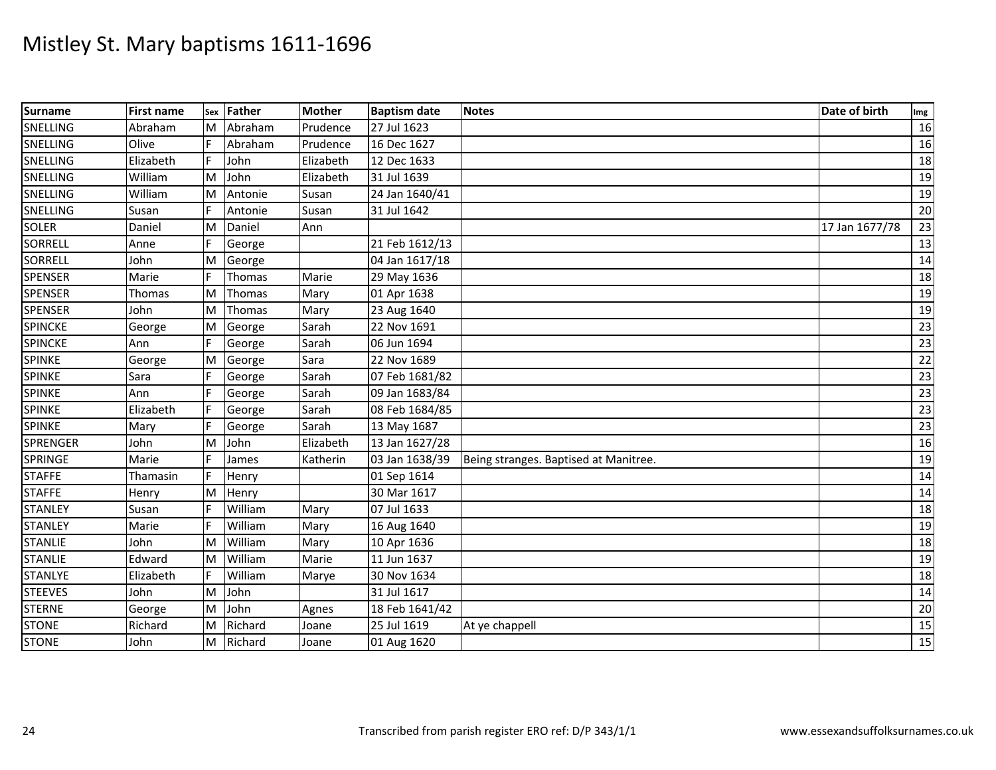| Surname         | <b>First name</b> | Sex | <b>Father</b> | <b>Mother</b> | <b>Baptism date</b> | <b>Notes</b>                          | Date of birth  | Img             |
|-----------------|-------------------|-----|---------------|---------------|---------------------|---------------------------------------|----------------|-----------------|
| SNELLING        | Abraham           | ΙM  | Abraham       | Prudence      | 27 Jul 1623         |                                       |                | 16              |
| SNELLING        | Olive             |     | Abraham       | Prudence      | 16 Dec 1627         |                                       |                | 16              |
| SNELLING        | Elizabeth         | F.  | John          | Elizabeth     | 12 Dec 1633         |                                       |                | 18              |
| SNELLING        | William           | M   | John          | Elizabeth     | 31 Jul 1639         |                                       |                | 19              |
| SNELLING        | William           | M   | Antonie       | Susan         | 24 Jan 1640/41      |                                       |                | 19              |
| SNELLING        | Susan             | F   | Antonie       | Susan         | 31 Jul 1642         |                                       |                | 20              |
| <b>SOLER</b>    | Daniel            | M   | Daniel        | Ann           |                     |                                       | 17 Jan 1677/78 | 23              |
| <b>SORRELL</b>  | Anne              |     | George        |               | 21 Feb 1612/13      |                                       |                | 13              |
| <b>SORRELL</b>  | John              | M   | George        |               | 04 Jan 1617/18      |                                       |                | 14              |
| <b>SPENSER</b>  | Marie             | F   | Thomas        | Marie         | 29 May 1636         |                                       |                | 18              |
| <b>SPENSER</b>  | Thomas            | M   | Thomas        | Mary          | 01 Apr 1638         |                                       |                | 19              |
| <b>SPENSER</b>  | John              | M   | Thomas        | Mary          | 23 Aug 1640         |                                       |                | 19              |
| <b>SPINCKE</b>  | George            | M   | George        | Sarah         | 22 Nov 1691         |                                       |                | 23              |
| <b>SPINCKE</b>  | Ann               | F   | George        | Sarah         | 06 Jun 1694         |                                       |                | 23              |
| <b>SPINKE</b>   | George            | M   | George        | Sara          | 22 Nov 1689         |                                       |                | 22              |
| <b>SPINKE</b>   | Sara              |     | George        | Sarah         | 07 Feb 1681/82      |                                       |                | 23              |
| <b>SPINKE</b>   | Ann               |     | George        | Sarah         | 09 Jan 1683/84      |                                       |                | $\overline{23}$ |
| <b>SPINKE</b>   | Elizabeth         |     | George        | Sarah         | 08 Feb 1684/85      |                                       |                | 23              |
| <b>SPINKE</b>   | Mary              |     | George        | Sarah         | 13 May 1687         |                                       |                | 23              |
| <b>SPRENGER</b> | John              | M   | John          | Elizabeth     | 13 Jan 1627/28      |                                       |                | 16              |
| <b>SPRINGE</b>  | Marie             |     | James         | Katherin      | 03 Jan 1638/39      | Being stranges. Baptised at Manitree. |                | 19              |
| <b>STAFFE</b>   | Thamasin          | F.  | Henry         |               | 01 Sep 1614         |                                       |                | 14              |
| <b>STAFFE</b>   | Henry             | M   | Henry         |               | 30 Mar 1617         |                                       |                | 14              |
| <b>STANLEY</b>  | Susan             |     | William       | Mary          | 07 Jul 1633         |                                       |                | 18              |
| <b>STANLEY</b>  | Marie             |     | William       | Mary          | 16 Aug 1640         |                                       |                | 19              |
| <b>STANLIE</b>  | John              | M   | William       | Mary          | 10 Apr 1636         |                                       |                | 18              |
| <b>STANLIE</b>  | Edward            | M   | William       | Marie         | 11 Jun 1637         |                                       |                | 19              |
| <b>STANLYE</b>  | Elizabeth         | F   | William       | Marye         | 30 Nov 1634         |                                       |                | 18              |
| <b>STEEVES</b>  | John              | M   | John          |               | 31 Jul 1617         |                                       |                | 14              |
| <b>STERNE</b>   | George            | M   | John          | Agnes         | 18 Feb 1641/42      |                                       |                | 20              |
| <b>STONE</b>    | Richard           | M   | Richard       | Joane         | 25 Jul 1619         | At ye chappell                        |                | 15              |
| <b>STONE</b>    | John              | ΙM  | Richard       | Joane         | 01 Aug 1620         |                                       |                | $\overline{15}$ |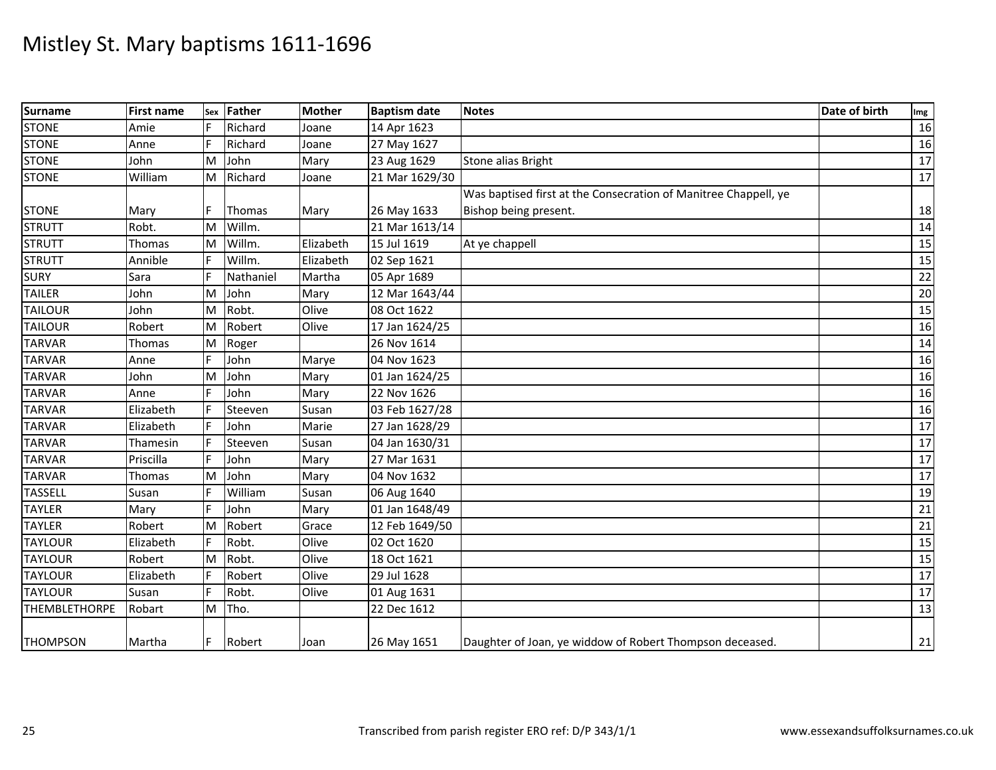| <b>Surname</b>       | <b>First name</b> | Sex | <b>Father</b> | <b>Mother</b> | <b>Baptism date</b> | <b>Notes</b>                                                    | Date of birth | Img |
|----------------------|-------------------|-----|---------------|---------------|---------------------|-----------------------------------------------------------------|---------------|-----|
| <b>STONE</b>         | Amie              |     | Richard       | Joane         | 14 Apr 1623         |                                                                 |               | 16  |
| <b>STONE</b>         | Anne              |     | Richard       | Joane         | 27 May 1627         |                                                                 |               | 16  |
| <b>STONE</b>         | John              | M   | John          | Mary          | 23 Aug 1629         | Stone alias Bright                                              |               | 17  |
| <b>STONE</b>         | William           | ΙM  | Richard       | Joane         | 21 Mar 1629/30      |                                                                 |               | 17  |
|                      |                   |     |               |               |                     | Was baptised first at the Consecration of Manitree Chappell, ye |               |     |
| <b>STONE</b>         | Mary              |     | Thomas        | Mary          | 26 May 1633         | Bishop being present.                                           |               | 18  |
| <b>STRUTT</b>        | Robt.             | M   | Willm.        |               | 21 Mar 1613/14      |                                                                 |               | 14  |
| <b>STRUTT</b>        | Thomas            | M   | Willm.        | Elizabeth     | 15 Jul 1619         | At ye chappell                                                  |               | 15  |
| <b>STRUTT</b>        | Annible           | E   | Willm.        | Elizabeth     | 02 Sep 1621         |                                                                 |               | 15  |
| <b>SURY</b>          | Sara              | F   | Nathaniel     | Martha        | 05 Apr 1689         |                                                                 |               | 22  |
| <b>TAILER</b>        | John              | M   | John          | Mary          | 12 Mar 1643/44      |                                                                 |               | 20  |
| <b>TAILOUR</b>       | John              | M   | Robt.         | Olive         | 08 Oct 1622         |                                                                 |               | 15  |
| <b>TAILOUR</b>       | Robert            | M   | Robert        | Olive         | 17 Jan 1624/25      |                                                                 |               | 16  |
| <b>TARVAR</b>        | Thomas            | M   | Roger         |               | 26 Nov 1614         |                                                                 |               | 14  |
| <b>TARVAR</b>        | Anne              |     | John          | Marye         | 04 Nov 1623         |                                                                 |               | 16  |
| <b>TARVAR</b>        | John              | M   | John          | Mary          | 01 Jan 1624/25      |                                                                 |               | 16  |
| <b>TARVAR</b>        | Anne              |     | John          | Mary          | 22 Nov 1626         |                                                                 |               | 16  |
| <b>TARVAR</b>        | Elizabeth         |     | Steeven       | Susan         | 03 Feb 1627/28      |                                                                 |               | 16  |
| <b>TARVAR</b>        | Elizabeth         |     | John          | Marie         | 27 Jan 1628/29      |                                                                 |               | 17  |
| <b>TARVAR</b>        | Thamesin          |     | Steeven       | Susan         | 04 Jan 1630/31      |                                                                 |               | 17  |
| <b>TARVAR</b>        | Priscilla         | F   | John          | Mary          | 27 Mar 1631         |                                                                 |               | 17  |
| <b>TARVAR</b>        | Thomas            | M   | John          | Mary          | 04 Nov 1632         |                                                                 |               | 17  |
| <b>TASSELL</b>       | Susan             |     | William       | Susan         | 06 Aug 1640         |                                                                 |               | 19  |
| <b>TAYLER</b>        | Mary              |     | John          | Mary          | 01 Jan 1648/49      |                                                                 |               | 21  |
| <b>TAYLER</b>        | Robert            | M   | Robert        | Grace         | 12 Feb 1649/50      |                                                                 |               | 21  |
| <b>TAYLOUR</b>       | Elizabeth         | F   | Robt.         | Olive         | 02 Oct 1620         |                                                                 |               | 15  |
| <b>TAYLOUR</b>       | Robert            | M   | Robt.         | Olive         | 18 Oct 1621         |                                                                 |               | 15  |
| <b>TAYLOUR</b>       | Elizabeth         | F   | Robert        | Olive         | 29 Jul 1628         |                                                                 |               | 17  |
| <b>TAYLOUR</b>       | Susan             | F.  | Robt.         | Olive         | 01 Aug 1631         |                                                                 |               | 17  |
| <b>THEMBLETHORPE</b> | Robart            | M   | Tho.          |               | 22 Dec 1612         |                                                                 |               | 13  |
| <b>THOMPSON</b>      | Martha            | F   | Robert        | Joan          | 26 May 1651         | Daughter of Joan, ye widdow of Robert Thompson deceased.        |               | 21  |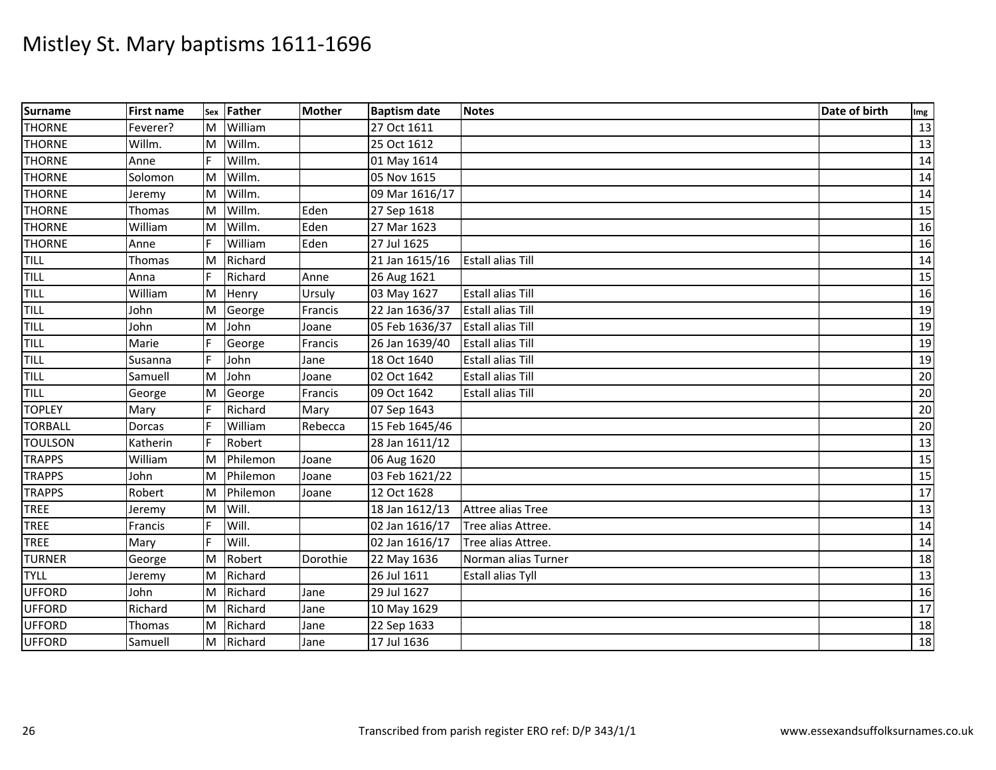| Surname        | <b>First name</b> | Sex | Father   | <b>Mother</b> | <b>Baptism date</b> | <b>Notes</b>             | Date of birth | Img             |
|----------------|-------------------|-----|----------|---------------|---------------------|--------------------------|---------------|-----------------|
| <b>THORNE</b>  | Feverer?          | ΙM  | William  |               | 27 Oct 1611         |                          |               | 13              |
| <b>THORNE</b>  | Willm.            | M   | Willm.   |               | 25 Oct 1612         |                          |               | 13              |
| <b>THORNE</b>  | Anne              |     | Willm.   |               | 01 May 1614         |                          |               | 14              |
| <b>THORNE</b>  | Solomon           | ΙM  | Willm.   |               | 05 Nov 1615         |                          |               | 14              |
| <b>THORNE</b>  | Jeremy            | ΙM  | Willm.   |               | 09 Mar 1616/17      |                          |               | $\overline{14}$ |
| <b>THORNE</b>  | Thomas            | M   | Willm.   | Eden          | 27 Sep 1618         |                          |               | 15              |
| <b>THORNE</b>  | William           | ΙM  | Willm.   | Eden          | 27 Mar 1623         |                          |               | 16              |
| <b>THORNE</b>  | Anne              |     | William  | Eden          | 27 Jul 1625         |                          |               | 16              |
| TILL           | Thomas            | M   | Richard  |               | 21 Jan 1615/16      | <b>Estall alias Till</b> |               | 14              |
| <b>TILL</b>    | Anna              | F   | Richard  | Anne          | 26 Aug 1621         |                          |               | 15              |
| TILL           | William           | M   | Henry    | Ursuly        | 03 May 1627         | <b>Estall alias Till</b> |               | 16              |
| TILL           | John              | M   | George   | Francis       | 22 Jan 1636/37      | <b>Estall alias Till</b> |               | 19              |
| <b>TILL</b>    | John              | M   | John     | Joane         | 05 Feb 1636/37      | <b>Estall alias Till</b> |               | 19              |
| TILL           | Marie             |     | George   | Francis       | 26 Jan 1639/40      | <b>Estall alias Till</b> |               | 19              |
| TILL           | Susanna           | F   | John     | Jane          | 18 Oct 1640         | <b>Estall alias Till</b> |               | 19              |
| TILL           | Samuell           | M   | John     | Joane         | 02 Oct 1642         | <b>Estall alias Till</b> |               | 20              |
| <b>TILL</b>    | George            | M   | George   | Francis       | 09 Oct 1642         | Estall alias Till        |               | $\overline{20}$ |
| <b>TOPLEY</b>  | Mary              |     | Richard  | Mary          | 07 Sep 1643         |                          |               | $\overline{20}$ |
| <b>TORBALL</b> | Dorcas            |     | William  | Rebecca       | 15 Feb 1645/46      |                          |               | 20              |
| <b>TOULSON</b> | Katherin          |     | Robert   |               | 28 Jan 1611/12      |                          |               | $\overline{13}$ |
| <b>TRAPPS</b>  | William           | M   | Philemon | Joane         | 06 Aug 1620         |                          |               | 15              |
| <b>TRAPPS</b>  | John              | M   | Philemon | Joane         | 03 Feb 1621/22      |                          |               | 15              |
| <b>TRAPPS</b>  | Robert            | M   | Philemon | Joane         | 12 Oct 1628         |                          |               | 17              |
| TREE           | Jeremy            | M   | Will.    |               | 18 Jan 1612/13      | Attree alias Tree        |               | 13              |
| <b>TREE</b>    | Francis           |     | Will.    |               | 02 Jan 1616/17      | Tree alias Attree.       |               | 14              |
| <b>TREE</b>    | Mary              | F.  | Will.    |               | 02 Jan 1616/17      | Tree alias Attree.       |               | 14              |
| <b>TURNER</b>  | George            | M   | Robert   | Dorothie      | 22 May 1636         | Norman alias Turner      |               | 18              |
| <b>TYLL</b>    | Jeremy            | M   | Richard  |               | 26 Jul 1611         | <b>Estall alias Tyll</b> |               | 13              |
| <b>UFFORD</b>  | John              | M   | Richard  | Jane          | 29 Jul 1627         |                          |               | 16              |
| <b>UFFORD</b>  | Richard           | M   | Richard  | Jane          | 10 May 1629         |                          |               | 17              |
| <b>UFFORD</b>  | Thomas            | M   | Richard  | Jane          | 22 Sep 1633         |                          |               | 18              |
| <b>UFFORD</b>  | Samuell           | ΙM  | Richard  | Jane          | 17 Jul 1636         |                          |               | $\overline{18}$ |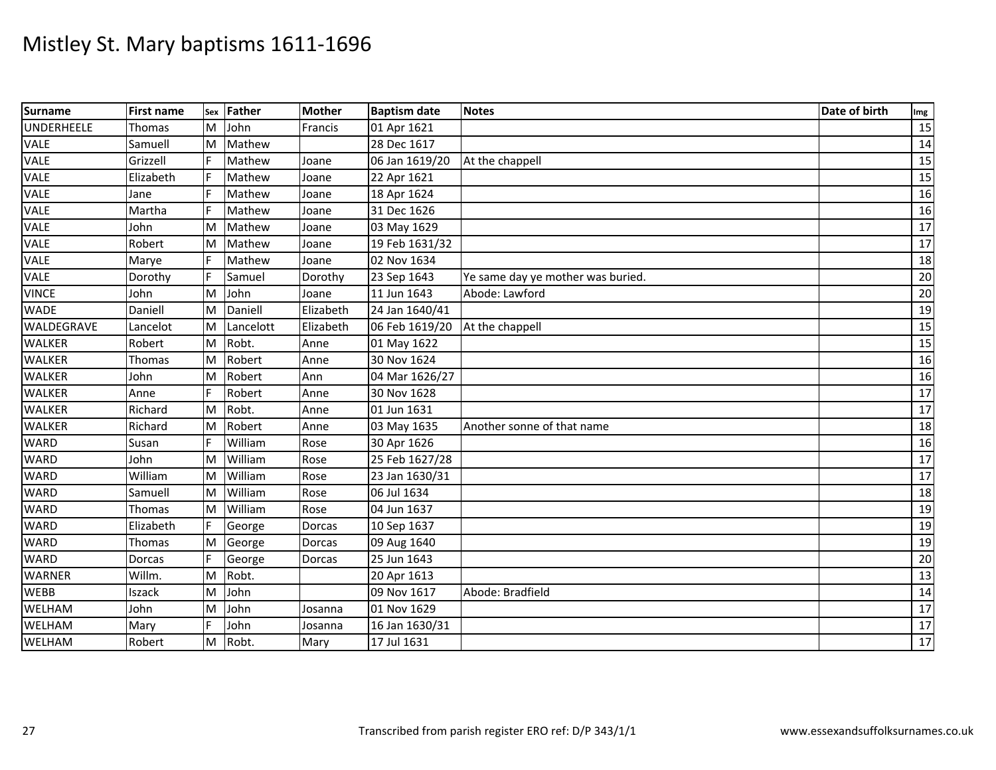| <b>Surname</b> | <b>First name</b> | Sex | <b>Father</b> | <b>Mother</b> | <b>Baptism date</b> | <b>Notes</b>                      | Date of birth | Img             |
|----------------|-------------------|-----|---------------|---------------|---------------------|-----------------------------------|---------------|-----------------|
| UNDERHEELE     | Thomas            | ΙM  | John          | Francis       | 01 Apr 1621         |                                   |               | 15              |
| VALE           | Samuell           | M   | Mathew        |               | 28 Dec 1617         |                                   |               | 14              |
| VALE           | Grizzell          |     | Mathew        | Joane         | 06 Jan 1619/20      | At the chappell                   |               | 15              |
| VALE           | Elizabeth         |     | Mathew        | Joane         | 22 Apr 1621         |                                   |               | 15              |
| VALE           | Jane              |     | Mathew        | Joane         | 18 Apr 1624         |                                   |               | 16              |
| VALE           | Martha            |     | Mathew        | Joane         | 31 Dec 1626         |                                   |               | 16              |
| VALE           | John              | M   | Mathew        | Joane         | 03 May 1629         |                                   |               | 17              |
| VALE           | Robert            | M   | Mathew        | Joane         | 19 Feb 1631/32      |                                   |               | 17              |
| <b>VALE</b>    | Marye             | F   | Mathew        | Joane         | 02 Nov 1634         |                                   |               | 18              |
| VALE           | Dorothy           |     | Samuel        | Dorothy       | 23 Sep 1643         | Ye same day ye mother was buried. |               | 20              |
| <b>VINCE</b>   | John              | M   | John          | Joane         | 11 Jun 1643         | Abode: Lawford                    |               | 20              |
| <b>WADE</b>    | Daniell           | M   | Daniell       | Elizabeth     | 24 Jan 1640/41      |                                   |               | 19              |
| WALDEGRAVE     | Lancelot          | M   | Lancelott     | Elizabeth     | 06 Feb 1619/20      | At the chappell                   |               | 15              |
| <b>WALKER</b>  | Robert            | M   | Robt.         | Anne          | 01 May 1622         |                                   |               | 15              |
| <b>WALKER</b>  | Thomas            | M   | Robert        | Anne          | 30 Nov 1624         |                                   |               | 16              |
| <b>WALKER</b>  | John              | M   | Robert        | Ann           | 04 Mar 1626/27      |                                   |               | 16              |
| <b>WALKER</b>  | Anne              |     | Robert        | Anne          | 30 Nov 1628         |                                   |               | 17              |
| <b>WALKER</b>  | Richard           | ΙM  | Robt.         | Anne          | 01 Jun 1631         |                                   |               | 17              |
| <b>WALKER</b>  | Richard           | M   | Robert        | Anne          | 03 May 1635         | Another sonne of that name        |               | 18              |
| <b>WARD</b>    | Susan             |     | William       | Rose          | 30 Apr 1626         |                                   |               | 16              |
| <b>WARD</b>    | John              | M   | William       | Rose          | 25 Feb 1627/28      |                                   |               | 17              |
| <b>WARD</b>    | William           | ΙM  | William       | Rose          | 23 Jan 1630/31      |                                   |               | 17              |
| <b>WARD</b>    | Samuell           | M   | William       | Rose          | 06 Jul 1634         |                                   |               | 18              |
| <b>WARD</b>    | Thomas            | M   | William       | Rose          | 04 Jun 1637         |                                   |               | 19              |
| <b>WARD</b>    | Elizabeth         |     | George        | Dorcas        | 10 Sep 1637         |                                   |               | 19              |
| <b>WARD</b>    | Thomas            | M   | George        | Dorcas        | 09 Aug 1640         |                                   |               | 19              |
| <b>WARD</b>    | Dorcas            |     | George        | Dorcas        | 25 Jun 1643         |                                   |               | 20              |
| <b>WARNER</b>  | Willm.            | M   | Robt.         |               | 20 Apr 1613         |                                   |               | 13              |
| <b>WEBB</b>    | Iszack            | M   | John          |               | 09 Nov 1617         | Abode: Bradfield                  |               | 14              |
| WELHAM         | John              | M   | John          | Josanna       | 01 Nov 1629         |                                   |               | 17              |
| WELHAM         | Mary              | F   | John          | Josanna       | 16 Jan 1630/31      |                                   |               | 17              |
| WELHAM         | Robert            | M   | Robt.         | Mary          | 17 Jul 1631         |                                   |               | $\overline{17}$ |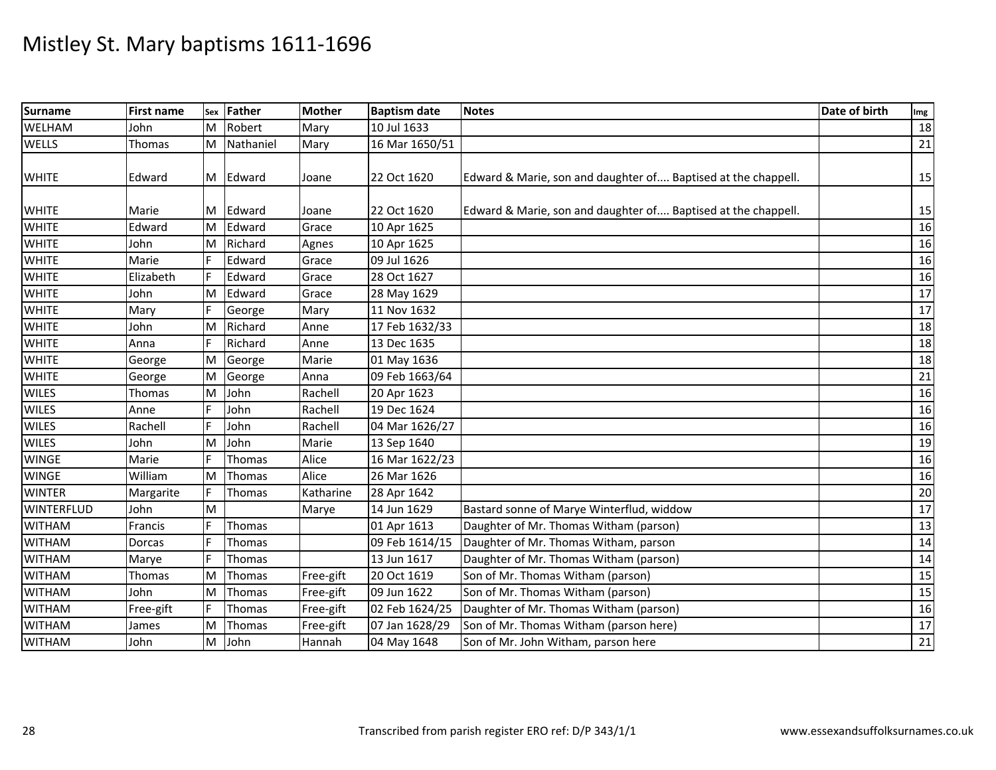| <b>Surname</b>    | <b>First name</b> | Sex | <b>Father</b> | <b>Mother</b> | <b>Baptism date</b> | <b>Notes</b>                                                  | Date of birth | Img |
|-------------------|-------------------|-----|---------------|---------------|---------------------|---------------------------------------------------------------|---------------|-----|
| WELHAM            | John              | ΙM  | Robert        | Mary          | 10 Jul 1633         |                                                               |               | 18  |
| <b>WELLS</b>      | Thomas            | M   | Nathaniel     | Mary          | 16 Mar 1650/51      |                                                               |               | 21  |
|                   |                   |     |               |               |                     |                                                               |               |     |
| <b>WHITE</b>      | Edward            |     | M Edward      | Joane         | 22 Oct 1620         | Edward & Marie, son and daughter of Baptised at the chappell. |               | 15  |
|                   |                   |     |               |               |                     |                                                               |               |     |
| <b>WHITE</b>      | Marie             | M   | Edward        | Joane         | 22 Oct 1620         | Edward & Marie, son and daughter of Baptised at the chappell. |               | 15  |
| <b>WHITE</b>      | Edward            | Iм  | Edward        | Grace         | 10 Apr 1625         |                                                               |               | 16  |
| <b>WHITE</b>      | John              | M   | Richard       | Agnes         | 10 Apr 1625         |                                                               |               | 16  |
| <b>WHITE</b>      | Marie             | F.  | Edward        | Grace         | 09 Jul 1626         |                                                               |               | 16  |
| <b>WHITE</b>      | Elizabeth         | F   | Edward        | Grace         | 28 Oct 1627         |                                                               |               | 16  |
| <b>WHITE</b>      | John              | M   | Edward        | Grace         | 28 May 1629         |                                                               |               | 17  |
| <b>WHITE</b>      | Mary              |     | George        | Mary          | 11 Nov 1632         |                                                               |               | 17  |
| <b>WHITE</b>      | John              | M   | Richard       | Anne          | 17 Feb 1632/33      |                                                               |               | 18  |
| <b>WHITE</b>      | Anna              | F   | Richard       | Anne          | 13 Dec 1635         |                                                               |               | 18  |
| <b>WHITE</b>      | George            | M   | George        | Marie         | 01 May 1636         |                                                               |               | 18  |
| <b>WHITE</b>      | George            | M   | George        | Anna          | 09 Feb 1663/64      |                                                               |               | 21  |
| <b>WILES</b>      | <b>Thomas</b>     | M   | John          | Rachell       | 20 Apr 1623         |                                                               |               | 16  |
| <b>WILES</b>      | Anne              | F   | John          | Rachell       | 19 Dec 1624         |                                                               |               | 16  |
| <b>WILES</b>      | Rachell           | F   | John          | Rachell       | 04 Mar 1626/27      |                                                               |               | 16  |
| <b>WILES</b>      | John              | M   | John          | Marie         | 13 Sep 1640         |                                                               |               | 19  |
| <b>WINGE</b>      | Marie             |     | Thomas        | Alice         | 16 Mar 1622/23      |                                                               |               | 16  |
| <b>WINGE</b>      | William           | ΙM  | Thomas        | Alice         | 26 Mar 1626         |                                                               |               | 16  |
| <b>WINTER</b>     | Margarite         | F   | <b>Thomas</b> | Katharine     | 28 Apr 1642         |                                                               |               | 20  |
| <b>WINTERFLUD</b> | John              | M   |               | Marye         | 14 Jun 1629         | Bastard sonne of Marye Winterflud, widdow                     |               | 17  |
| <b>WITHAM</b>     | Francis           |     | Thomas        |               | 01 Apr 1613         | Daughter of Mr. Thomas Witham (parson)                        |               | 13  |
| <b>WITHAM</b>     | Dorcas            | F.  | Thomas        |               | 09 Feb 1614/15      | Daughter of Mr. Thomas Witham, parson                         |               | 14  |
| <b>WITHAM</b>     | Marye             |     | Thomas        |               | 13 Jun 1617         | Daughter of Mr. Thomas Witham (parson)                        |               | 14  |
| <b>WITHAM</b>     | Thomas            | M   | Thomas        | Free-gift     | 20 Oct 1619         | Son of Mr. Thomas Witham (parson)                             |               | 15  |
| <b>WITHAM</b>     | John              | M   | <b>Thomas</b> | Free-gift     | 09 Jun 1622         | Son of Mr. Thomas Witham (parson)                             |               | 15  |
| <b>WITHAM</b>     | Free-gift         | F   | Thomas        | Free-gift     | 02 Feb 1624/25      | Daughter of Mr. Thomas Witham (parson)                        |               | 16  |
| <b>WITHAM</b>     | James             | M   | Thomas        | Free-gift     | 07 Jan 1628/29      | Son of Mr. Thomas Witham (parson here)                        |               | 17  |
| <b>WITHAM</b>     | John              | M   | John          | Hannah        | 04 May 1648         | Son of Mr. John Witham, parson here                           |               | 21  |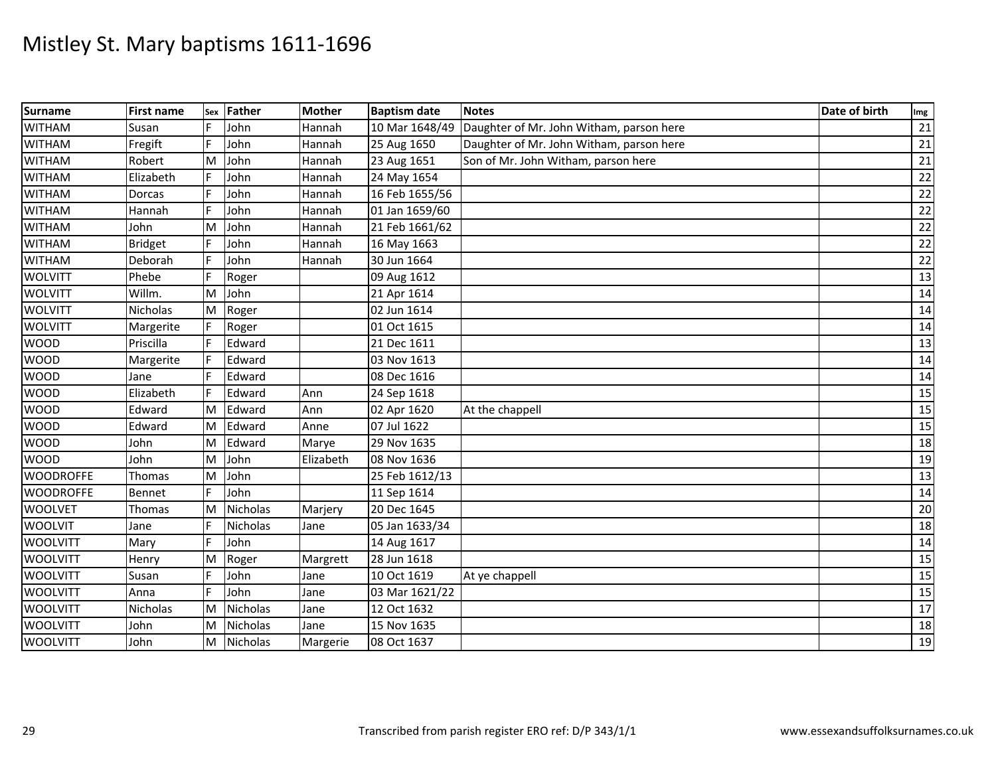| Surname          | <b>First name</b> | Sex | Father          | <b>Mother</b> | <b>Baptism date</b> | <b>Notes</b>                             | Date of birth | Img             |
|------------------|-------------------|-----|-----------------|---------------|---------------------|------------------------------------------|---------------|-----------------|
| <b>WITHAM</b>    | Susan             |     | John            | Hannah        | 10 Mar 1648/49      | Daughter of Mr. John Witham, parson here |               | 21              |
| <b>WITHAM</b>    | Fregift           | F   | John            | Hannah        | 25 Aug 1650         | Daughter of Mr. John Witham, parson here |               | 21              |
| <b>WITHAM</b>    | Robert            | M   | John            | Hannah        | 23 Aug 1651         | Son of Mr. John Witham, parson here      |               | 21              |
| <b>WITHAM</b>    | Elizabeth         | F   | John            | Hannah        | 24 May 1654         |                                          |               | 22              |
| <b>WITHAM</b>    | Dorcas            | F   | John            | Hannah        | 16 Feb 1655/56      |                                          |               | 22              |
| <b>WITHAM</b>    | Hannah            | F   | John            | Hannah        | 01 Jan 1659/60      |                                          |               | 22              |
| <b>WITHAM</b>    | John              | M   | John            | Hannah        | 21 Feb 1661/62      |                                          |               | 22              |
| <b>WITHAM</b>    | <b>Bridget</b>    |     | John            | Hannah        | 16 May 1663         |                                          |               | 22              |
| <b>WITHAM</b>    | Deborah           |     | John            | Hannah        | 30 Jun 1664         |                                          |               | 22              |
| <b>WOLVITT</b>   | Phebe             | F   | Roger           |               | 09 Aug 1612         |                                          |               | 13              |
| <b>WOLVITT</b>   | Willm.            | M   | John            |               | 21 Apr 1614         |                                          |               | 14              |
| <b>WOLVITT</b>   | Nicholas          | M   | Roger           |               | 02 Jun 1614         |                                          |               | 14              |
| <b>WOLVITT</b>   | Margerite         |     | Roger           |               | 01 Oct 1615         |                                          |               | 14              |
| <b>WOOD</b>      | Priscilla         | F   | Edward          |               | 21 Dec 1611         |                                          |               | 13              |
| <b>WOOD</b>      | Margerite         | F   | Edward          |               | 03 Nov 1613         |                                          |               | 14              |
| <b>WOOD</b>      | Jane              |     | Edward          |               | 08 Dec 1616         |                                          |               | 14              |
| <b>WOOD</b>      | Elizabeth         | F   | Edward          | Ann           | 24 Sep 1618         |                                          |               | 15              |
| <b>WOOD</b>      | Edward            | ΙM  | Edward          | Ann           | 02 Apr 1620         | At the chappell                          |               | 15              |
| <b>WOOD</b>      | Edward            | ΙM  | Edward          | Anne          | 07 Jul 1622         |                                          |               | 15              |
| <b>WOOD</b>      | John              | M   | Edward          | Marye         | 29 Nov 1635         |                                          |               | 18              |
| <b>WOOD</b>      | John              | M   | John            | Elizabeth     | 08 Nov 1636         |                                          |               | 19              |
| <b>WOODROFFE</b> | Thomas            | M   | John            |               | 25 Feb 1612/13      |                                          |               | $\overline{13}$ |
| <b>WOODROFFE</b> | Bennet            | F.  | John            |               | 11 Sep 1614         |                                          |               | 14              |
| <b>WOOLVET</b>   | <b>Thomas</b>     | M   | Nicholas        | Marjery       | 20 Dec 1645         |                                          |               | 20              |
| <b>WOOLVIT</b>   | Jane              |     | Nicholas        | Jane          | 05 Jan 1633/34      |                                          |               | 18              |
| <b>WOOLVITT</b>  | Mary              | F.  | John            |               | 14 Aug 1617         |                                          |               | 14              |
| <b>WOOLVITT</b>  | Henry             | M   | Roger           | Margrett      | 28 Jun 1618         |                                          |               | 15              |
| <b>WOOLVITT</b>  | Susan             | F   | John            | Jane          | 10 Oct 1619         | At ye chappell                           |               | 15              |
| <b>WOOLVITT</b>  | Anna              |     | John            | Jane          | 03 Mar 1621/22      |                                          |               | 15              |
| <b>WOOLVITT</b>  | Nicholas          | M   | <b>Nicholas</b> | Jane          | 12 Oct 1632         |                                          |               | 17              |
| <b>WOOLVITT</b>  | John              | M   | Nicholas        | Jane          | 15 Nov 1635         |                                          |               | 18              |
| <b>WOOLVITT</b>  | John              | M   | Nicholas        | Margerie      | 08 Oct 1637         |                                          |               | 19              |